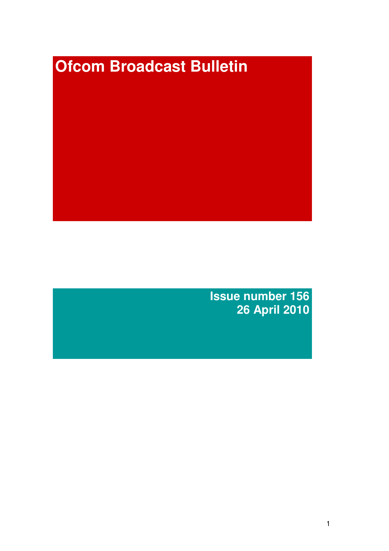# **Ofcom Broadcast Bulletin**

**Issue number 156 26 April 2010**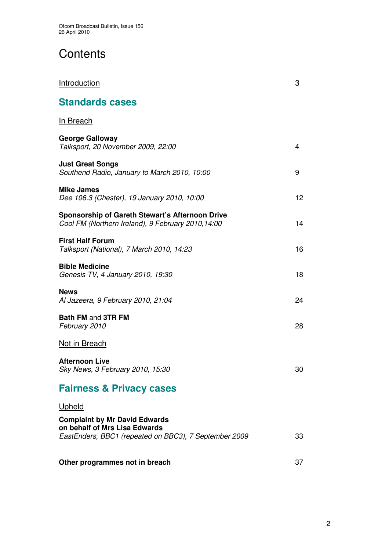# **Contents**

| Introduction                                                                                                                   | 3  |
|--------------------------------------------------------------------------------------------------------------------------------|----|
| <b>Standards cases</b>                                                                                                         |    |
| <b>In Breach</b>                                                                                                               |    |
| <b>George Galloway</b><br>Talksport, 20 November 2009, 22:00                                                                   | 4  |
| <b>Just Great Songs</b><br>Southend Radio, January to March 2010, 10:00                                                        | 9  |
| <b>Mike James</b><br>Dee 106.3 (Chester), 19 January 2010, 10:00                                                               | 12 |
| <b>Sponsorship of Gareth Stewart's Afternoon Drive</b><br>Cool FM (Northern Ireland), 9 February 2010, 14:00                   | 14 |
| <b>First Half Forum</b><br>Talksport (National), 7 March 2010, 14:23                                                           | 16 |
| <b>Bible Medicine</b><br>Genesis TV, 4 January 2010, 19:30                                                                     | 18 |
| <b>News</b><br>Al Jazeera, 9 February 2010, 21:04                                                                              | 24 |
| <b>Bath FM and 3TR FM</b><br>February 2010                                                                                     | 28 |
| Not in Breach                                                                                                                  |    |
| <b>Afternoon Live</b><br>Sky News, 3 February 2010, 15:30                                                                      | 30 |
| <b>Fairness &amp; Privacy cases</b>                                                                                            |    |
| Upheld                                                                                                                         |    |
| <b>Complaint by Mr David Edwards</b><br>on behalf of Mrs Lisa Edwards<br>EastEnders, BBC1 (repeated on BBC3), 7 September 2009 | 33 |
| Other programmes not in breach                                                                                                 | 37 |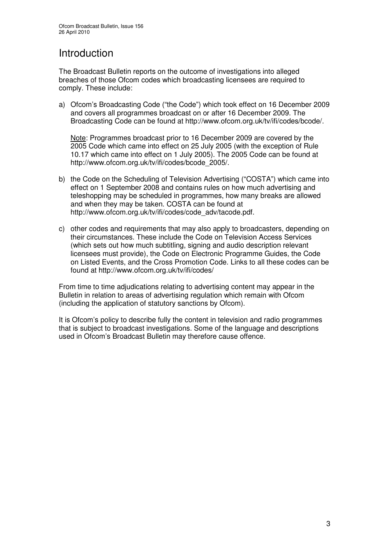# Introduction

The Broadcast Bulletin reports on the outcome of investigations into alleged breaches of those Ofcom codes which broadcasting licensees are required to comply. These include:

a) Ofcom's Broadcasting Code ("the Code") which took effect on 16 December 2009 and covers all programmes broadcast on or after 16 December 2009. The Broadcasting Code can be found at http://www.ofcom.org.uk/tv/ifi/codes/bcode/.

Note: Programmes broadcast prior to 16 December 2009 are covered by the 2005 Code which came into effect on 25 July 2005 (with the exception of Rule 10.17 which came into effect on 1 July 2005). The 2005 Code can be found at http://www.ofcom.org.uk/tv/ifi/codes/bcode\_2005/.

- b) the Code on the Scheduling of Television Advertising ("COSTA") which came into effect on 1 September 2008 and contains rules on how much advertising and teleshopping may be scheduled in programmes, how many breaks are allowed and when they may be taken. COSTA can be found at http://www.ofcom.org.uk/tv/ifi/codes/code\_adv/tacode.pdf.
- c) other codes and requirements that may also apply to broadcasters, depending on their circumstances. These include the Code on Television Access Services (which sets out how much subtitling, signing and audio description relevant licensees must provide), the Code on Electronic Programme Guides, the Code on Listed Events, and the Cross Promotion Code. Links to all these codes can be found at http://www.ofcom.org.uk/tv/ifi/codes/

From time to time adjudications relating to advertising content may appear in the Bulletin in relation to areas of advertising regulation which remain with Ofcom (including the application of statutory sanctions by Ofcom).

It is Ofcom's policy to describe fully the content in television and radio programmes that is subject to broadcast investigations. Some of the language and descriptions used in Ofcom's Broadcast Bulletin may therefore cause offence.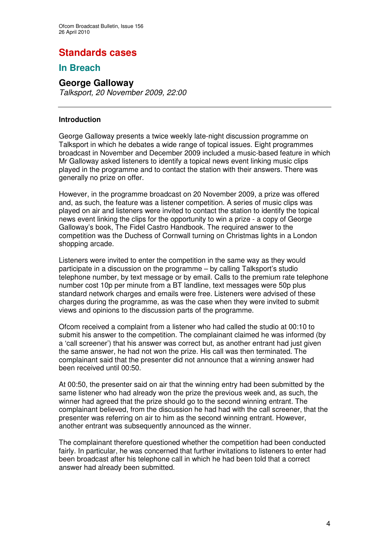# **Standards cases**

# **In Breach**

# **George Galloway**

*Talksport, 20 November 2009, 22:00*

#### **Introduction**

George Galloway presents a twice weekly late-night discussion programme on Talksport in which he debates a wide range of topical issues. Eight programmes broadcast in November and December 2009 included a music-based feature in which Mr Galloway asked listeners to identify a topical news event linking music clips played in the programme and to contact the station with their answers. There was generally no prize on offer.

However, in the programme broadcast on 20 November 2009, a prize was offered and, as such, the feature was a listener competition. A series of music clips was played on air and listeners were invited to contact the station to identify the topical news event linking the clips for the opportunity to win a prize - a copy of George Galloway's book, The Fidel Castro Handbook. The required answer to the competition was the Duchess of Cornwall turning on Christmas lights in a London shopping arcade.

Listeners were invited to enter the competition in the same way as they would participate in a discussion on the programme – by calling Talksport's studio telephone number, by text message or by email. Calls to the premium rate telephone number cost 10p per minute from a BT landline, text messages were 50p plus standard network charges and emails were free. Listeners were advised of these charges during the programme, as was the case when they were invited to submit views and opinions to the discussion parts of the programme.

Ofcom received a complaint from a listener who had called the studio at 00:10 to submit his answer to the competition. The complainant claimed he was informed (by a 'call screener') that his answer was correct but, as another entrant had just given the same answer, he had not won the prize. His call was then terminated. The complainant said that the presenter did not announce that a winning answer had been received until 00:50.

At 00:50, the presenter said on air that the winning entry had been submitted by the same listener who had already won the prize the previous week and, as such, the winner had agreed that the prize should go to the second winning entrant. The complainant believed, from the discussion he had had with the call screener, that the presenter was referring on air to him as the second winning entrant. However, another entrant was subsequently announced as the winner.

The complainant therefore questioned whether the competition had been conducted fairly. In particular, he was concerned that further invitations to listeners to enter had been broadcast after his telephone call in which he had been told that a correct answer had already been submitted.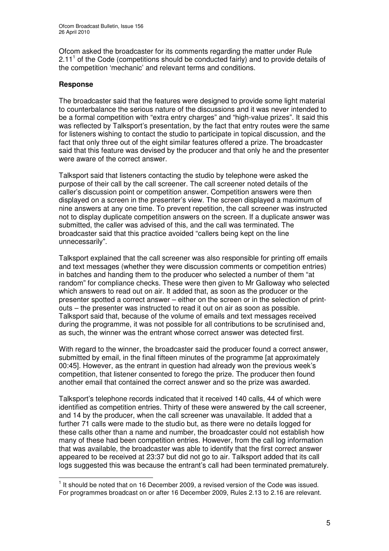Ofcom asked the broadcaster for its comments regarding the matter under Rule 2.11<sup>1</sup> of the Code (competitions should be conducted fairly) and to provide details of the competition 'mechanic' and relevant terms and conditions.

## **Response**

The broadcaster said that the features were designed to provide some light material to counterbalance the serious nature of the discussions and it was never intended to be a formal competition with "extra entry charges" and "high-value prizes". It said this was reflected by Talksport's presentation, by the fact that entry routes were the same for listeners wishing to contact the studio to participate in topical discussion, and the fact that only three out of the eight similar features offered a prize. The broadcaster said that this feature was devised by the producer and that only he and the presenter were aware of the correct answer.

Talksport said that listeners contacting the studio by telephone were asked the purpose of their call by the call screener. The call screener noted details of the caller's discussion point or competition answer. Competition answers were then displayed on a screen in the presenter's view. The screen displayed a maximum of nine answers at any one time. To prevent repetition, the call screener was instructed not to display duplicate competition answers on the screen. If a duplicate answer was submitted, the caller was advised of this, and the call was terminated. The broadcaster said that this practice avoided "callers being kept on the line unnecessarily".

Talksport explained that the call screener was also responsible for printing off emails and text messages (whether they were discussion comments or competition entries) in batches and handing them to the producer who selected a number of them "at random" for compliance checks. These were then given to Mr Galloway who selected which answers to read out on air. It added that, as soon as the producer or the presenter spotted a correct answer – either on the screen or in the selection of printouts – the presenter was instructed to read it out on air as soon as possible. Talksport said that, because of the volume of emails and text messages received during the programme, it was not possible for all contributions to be scrutinised and, as such, the winner was the entrant whose correct answer was detected first.

With regard to the winner, the broadcaster said the producer found a correct answer, submitted by email, in the final fifteen minutes of the programme [at approximately 00:45]. However, as the entrant in question had already won the previous week's competition, that listener consented to forego the prize. The producer then found another email that contained the correct answer and so the prize was awarded.

Talksport's telephone records indicated that it received 140 calls, 44 of which were identified as competition entries. Thirty of these were answered by the call screener, and 14 by the producer, when the call screener was unavailable. It added that a further 71 calls were made to the studio but, as there were no details logged for these calls other than a name and number, the broadcaster could not establish how many of these had been competition entries. However, from the call log information that was available, the broadcaster was able to identify that the first correct answer appeared to be received at 23:37 but did not go to air. Talksport added that its call logs suggested this was because the entrant's call had been terminated prematurely.

 $<sup>1</sup>$  It should be noted that on 16 December 2009, a revised version of the Code was issued.</sup> For programmes broadcast on or after 16 December 2009, Rules 2.13 to 2.16 are relevant.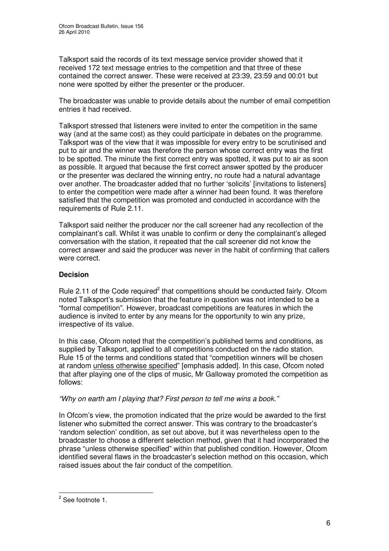Talksport said the records of its text message service provider showed that it received 172 text message entries to the competition and that three of these contained the correct answer. These were received at 23:39, 23:59 and 00:01 but none were spotted by either the presenter or the producer.

The broadcaster was unable to provide details about the number of email competition entries it had received.

Talksport stressed that listeners were invited to enter the competition in the same way (and at the same cost) as they could participate in debates on the programme. Talksport was of the view that it was impossible for every entry to be scrutinised and put to air and the winner was therefore the person whose correct entry was the first to be spotted. The minute the first correct entry was spotted, it was put to air as soon as possible. It argued that because the first correct answer spotted by the producer or the presenter was declared the winning entry, no route had a natural advantage over another. The broadcaster added that no further 'solicits' [invitations to listeners] to enter the competition were made after a winner had been found. It was therefore satisfied that the competition was promoted and conducted in accordance with the requirements of Rule 2.11.

Talksport said neither the producer nor the call screener had any recollection of the complainant's call. Whilst it was unable to confirm or deny the complainant's alleged conversation with the station, it repeated that the call screener did not know the correct answer and said the producer was never in the habit of confirming that callers were correct.

## **Decision**

Rule 2.11 of the Code required<sup>2</sup> that competitions should be conducted fairly. Ofcom noted Talksport's submission that the feature in question was not intended to be a "formal competition". However, broadcast competitions are features in which the audience is invited to enter by any means for the opportunity to win any prize, irrespective of its value.

In this case, Ofcom noted that the competition's published terms and conditions, as supplied by Talksport, applied to all competitions conducted on the radio station. Rule 15 of the terms and conditions stated that "competition winners will be chosen at random unless otherwise specified" [emphasis added]. In this case, Ofcom noted that after playing one of the clips of music, Mr Galloway promoted the competition as follows:

*"Why on earth am I playing that? First person to tell me wins a book."*

In Ofcom's view, the promotion indicated that the prize would be awarded to the first listener who submitted the correct answer. This was contrary to the broadcaster's 'random selection' condition, as set out above, but it was nevertheless open to the broadcaster to choose a different selection method, given that it had incorporated the phrase "unless otherwise specified" within that published condition. However, Ofcom identified several flaws in the broadcaster's selection method on this occasion, which raised issues about the fair conduct of the competition.

<sup>&</sup>lt;sup>2</sup> See footnote 1.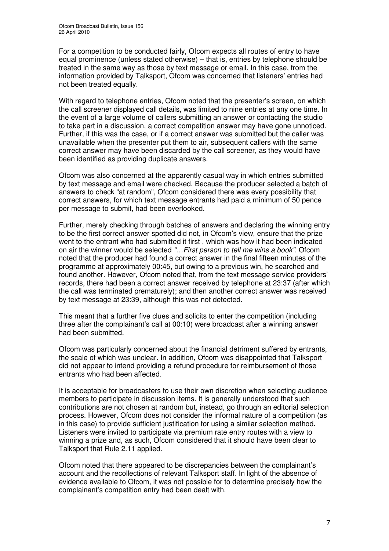For a competition to be conducted fairly, Ofcom expects all routes of entry to have equal prominence (unless stated otherwise) – that is, entries by telephone should be treated in the same way as those by text message or email. In this case, from the information provided by Talksport, Ofcom was concerned that listeners' entries had not been treated equally.

With regard to telephone entries, Ofcom noted that the presenter's screen, on which the call screener displayed call details, was limited to nine entries at any one time. In the event of a large volume of callers submitting an answer or contacting the studio to take part in a discussion, a correct competition answer may have gone unnoticed. Further, if this was the case, or if a correct answer was submitted but the caller was unavailable when the presenter put them to air, subsequent callers with the same correct answer may have been discarded by the call screener, as they would have been identified as providing duplicate answers.

Ofcom was also concerned at the apparently casual way in which entries submitted by text message and email were checked. Because the producer selected a batch of answers to check "at random", Ofcom considered there was every possibility that correct answers, for which text message entrants had paid a minimum of 50 pence per message to submit, had been overlooked.

Further, merely checking through batches of answers and declaring the winning entry to be the first correct answer spotted did not, in Ofcom's view, ensure that the prize went to the entrant who had submitted it first , which was how it had been indicated on air the winner would be selected *"…First person to tell me wins a book"*. Ofcom noted that the producer had found a correct answer in the final fifteen minutes of the programme at approximately 00:45, but owing to a previous win, he searched and found another. However, Ofcom noted that, from the text message service providers' records, there had been a correct answer received by telephone at 23:37 (after which the call was terminated prematurely); and then another correct answer was received by text message at 23:39, although this was not detected.

This meant that a further five clues and solicits to enter the competition (including three after the complainant's call at 00:10) were broadcast after a winning answer had been submitted.

Ofcom was particularly concerned about the financial detriment suffered by entrants, the scale of which was unclear. In addition, Ofcom was disappointed that Talksport did not appear to intend providing a refund procedure for reimbursement of those entrants who had been affected.

It is acceptable for broadcasters to use their own discretion when selecting audience members to participate in discussion items. It is generally understood that such contributions are not chosen at random but, instead, go through an editorial selection process. However, Ofcom does not consider the informal nature of a competition (as in this case) to provide sufficient justification for using a similar selection method. Listeners were invited to participate via premium rate entry routes with a view to winning a prize and, as such, Ofcom considered that it should have been clear to Talksport that Rule 2.11 applied.

Ofcom noted that there appeared to be discrepancies between the complainant's account and the recollections of relevant Talksport staff. In light of the absence of evidence available to Ofcom, it was not possible for to determine precisely how the complainant's competition entry had been dealt with.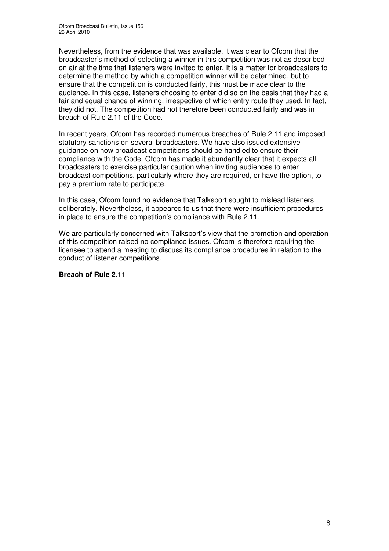Nevertheless, from the evidence that was available, it was clear to Ofcom that the broadcaster's method of selecting a winner in this competition was not as described on air at the time that listeners were invited to enter. It is a matter for broadcasters to determine the method by which a competition winner will be determined, but to ensure that the competition is conducted fairly, this must be made clear to the audience. In this case, listeners choosing to enter did so on the basis that they had a fair and equal chance of winning, irrespective of which entry route they used. In fact, they did not. The competition had not therefore been conducted fairly and was in breach of Rule 2.11 of the Code.

In recent years, Ofcom has recorded numerous breaches of Rule 2.11 and imposed statutory sanctions on several broadcasters. We have also issued extensive guidance on how broadcast competitions should be handled to ensure their compliance with the Code. Ofcom has made it abundantly clear that it expects all broadcasters to exercise particular caution when inviting audiences to enter broadcast competitions, particularly where they are required, or have the option, to pay a premium rate to participate.

In this case, Ofcom found no evidence that Talksport sought to mislead listeners deliberately. Nevertheless, it appeared to us that there were insufficient procedures in place to ensure the competition's compliance with Rule 2.11.

We are particularly concerned with Talksport's view that the promotion and operation of this competition raised no compliance issues. Ofcom is therefore requiring the licensee to attend a meeting to discuss its compliance procedures in relation to the conduct of listener competitions.

#### **Breach of Rule 2.11**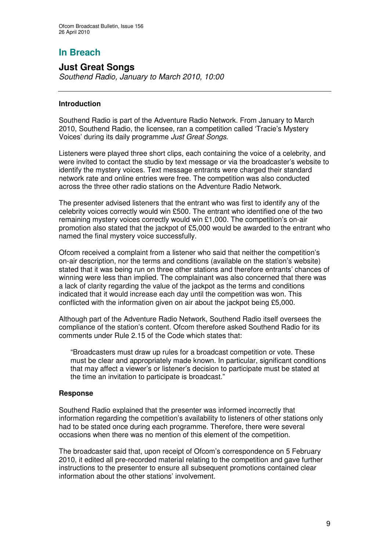# **In Breach**

# **Just Great Songs**

*Southend Radio, January to March 2010, 10:00*

## **Introduction**

Southend Radio is part of the Adventure Radio Network. From January to March 2010, Southend Radio, the licensee, ran a competition called 'Tracie's Mystery Voices' during its daily programme *Just Great Songs*.

Listeners were played three short clips, each containing the voice of a celebrity, and were invited to contact the studio by text message or via the broadcaster's website to identify the mystery voices. Text message entrants were charged their standard network rate and online entries were free. The competition was also conducted across the three other radio stations on the Adventure Radio Network.

The presenter advised listeners that the entrant who was first to identify any of the celebrity voices correctly would win £500. The entrant who identified one of the two remaining mystery voices correctly would win £1,000. The competition's on-air promotion also stated that the jackpot of £5,000 would be awarded to the entrant who named the final mystery voice successfully.

Ofcom received a complaint from a listener who said that neither the competition's on-air description, nor the terms and conditions (available on the station's website) stated that it was being run on three other stations and therefore entrants' chances of winning were less than implied. The complainant was also concerned that there was a lack of clarity regarding the value of the jackpot as the terms and conditions indicated that it would increase each day until the competition was won. This conflicted with the information given on air about the jackpot being £5,000.

Although part of the Adventure Radio Network, Southend Radio itself oversees the compliance of the station's content. Ofcom therefore asked Southend Radio for its comments under Rule 2.15 of the Code which states that:

"Broadcasters must draw up rules for a broadcast competition or vote. These must be clear and appropriately made known. In particular, significant conditions that may affect a viewer's or listener's decision to participate must be stated at the time an invitation to participate is broadcast."

#### **Response**

Southend Radio explained that the presenter was informed incorrectly that information regarding the competition's availability to listeners of other stations only had to be stated once during each programme. Therefore, there were several occasions when there was no mention of this element of the competition.

The broadcaster said that, upon receipt of Ofcom's correspondence on 5 February 2010, it edited all pre-recorded material relating to the competition and gave further instructions to the presenter to ensure all subsequent promotions contained clear information about the other stations' involvement.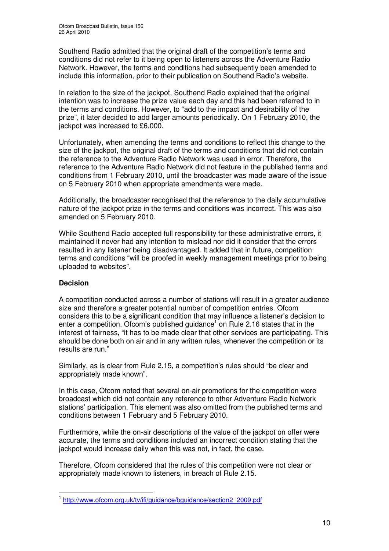Southend Radio admitted that the original draft of the competition's terms and conditions did not refer to it being open to listeners across the Adventure Radio Network. However, the terms and conditions had subsequently been amended to include this information, prior to their publication on Southend Radio's website.

In relation to the size of the jackpot, Southend Radio explained that the original intention was to increase the prize value each day and this had been referred to in the terms and conditions. However, to "add to the impact and desirability of the prize", it later decided to add larger amounts periodically. On 1 February 2010, the jackpot was increased to £6,000.

Unfortunately, when amending the terms and conditions to reflect this change to the size of the jackpot, the original draft of the terms and conditions that did not contain the reference to the Adventure Radio Network was used in error. Therefore, the reference to the Adventure Radio Network did not feature in the published terms and conditions from 1 February 2010, until the broadcaster was made aware of the issue on 5 February 2010 when appropriate amendments were made.

Additionally, the broadcaster recognised that the reference to the daily accumulative nature of the jackpot prize in the terms and conditions was incorrect. This was also amended on 5 February 2010.

While Southend Radio accepted full responsibility for these administrative errors, it maintained it never had any intention to mislead nor did it consider that the errors resulted in any listener being disadvantaged. It added that in future, competition terms and conditions "will be proofed in weekly management meetings prior to being uploaded to websites".

# **Decision**

A competition conducted across a number of stations will result in a greater audience size and therefore a greater potential number of competition entries. Ofcom considers this to be a significant condition that may influence a listener's decision to enter a competition. Ofcom's published guidance<sup>1</sup> on Rule 2.16 states that in the interest of fairness, "it has to be made clear that other services are participating. This should be done both on air and in any written rules, whenever the competition or its results are run."

Similarly, as is clear from Rule 2.15, a competition's rules should "be clear and appropriately made known".

In this case, Ofcom noted that several on-air promotions for the competition were broadcast which did not contain any reference to other Adventure Radio Network stations' participation. This element was also omitted from the published terms and conditions between 1 February and 5 February 2010.

Furthermore, while the on-air descriptions of the value of the jackpot on offer were accurate, the terms and conditions included an incorrect condition stating that the jackpot would increase daily when this was not, in fact, the case.

Therefore, Ofcom considered that the rules of this competition were not clear or appropriately made known to listeners, in breach of Rule 2.15.

<sup>&</sup>lt;sup>1</sup> http://www.ofcom.org.uk/tv/ifi/guidance/bguidance/section2\_2009.pdf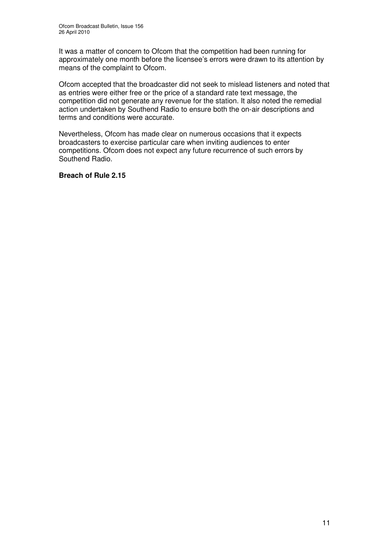It was a matter of concern to Ofcom that the competition had been running for approximately one month before the licensee's errors were drawn to its attention by means of the complaint to Ofcom.

Ofcom accepted that the broadcaster did not seek to mislead listeners and noted that as entries were either free or the price of a standard rate text message, the competition did not generate any revenue for the station. It also noted the remedial action undertaken by Southend Radio to ensure both the on-air descriptions and terms and conditions were accurate.

Nevertheless, Ofcom has made clear on numerous occasions that it expects broadcasters to exercise particular care when inviting audiences to enter competitions. Ofcom does not expect any future recurrence of such errors by Southend Radio.

#### **Breach of Rule 2.15**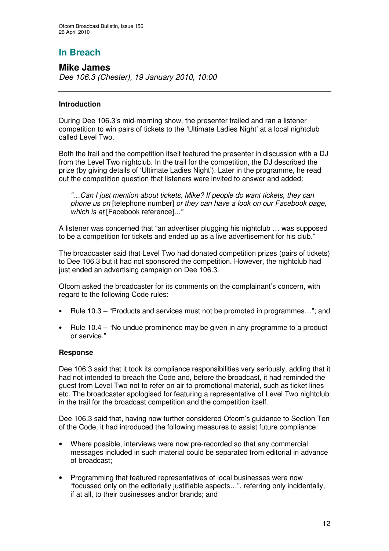# **In Breach**

# **Mike James** *Dee 106.3 (Chester), 19 January 2010, 10:00*

## **Introduction**

During Dee 106.3's mid-morning show, the presenter trailed and ran a listener competition to win pairs of tickets to the 'Ultimate Ladies Night' at a local nightclub called Level Two.

Both the trail and the competition itself featured the presenter in discussion with a DJ from the Level Two nightclub. In the trail for the competition, the DJ described the prize (by giving details of 'Ultimate Ladies Night'). Later in the programme, he read out the competition question that listeners were invited to answer and added:

*"…Can I just mention about tickets, Mike? If people do want tickets, they can phone us on* [telephone number] *or they can have a look on our Facebook page, which is at* [Facebook reference]*..."*

A listener was concerned that "an advertiser plugging his nightclub … was supposed to be a competition for tickets and ended up as a live advertisement for his club."

The broadcaster said that Level Two had donated competition prizes (pairs of tickets) to Dee 106.3 but it had not sponsored the competition. However, the nightclub had just ended an advertising campaign on Dee 106.3.

Ofcom asked the broadcaster for its comments on the complainant's concern, with regard to the following Code rules:

- Rule 10.3 "Products and services must not be promoted in programmes…"; and
- Rule 10.4 "No undue prominence may be given in any programme to a product or service."

#### **Response**

Dee 106.3 said that it took its compliance responsibilities very seriously, adding that it had not intended to breach the Code and, before the broadcast, it had reminded the guest from Level Two not to refer on air to promotional material, such as ticket lines etc. The broadcaster apologised for featuring a representative of Level Two nightclub in the trail for the broadcast competition and the competition itself.

Dee 106.3 said that, having now further considered Ofcom's guidance to Section Ten of the Code, it had introduced the following measures to assist future compliance:

- Where possible, interviews were now pre-recorded so that any commercial messages included in such material could be separated from editorial in advance of broadcast;
- Programming that featured representatives of local businesses were now "focussed only on the editorially justifiable aspects…", referring only incidentally, if at all, to their businesses and/or brands; and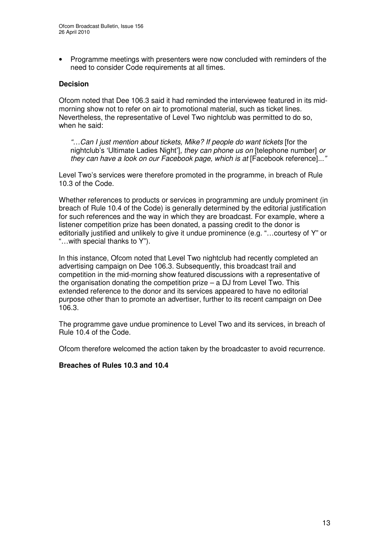• Programme meetings with presenters were now concluded with reminders of the need to consider Code requirements at all times.

## **Decision**

Ofcom noted that Dee 106.3 said it had reminded the interviewee featured in its midmorning show not to refer on air to promotional material, such as ticket lines. Nevertheless, the representative of Level Two nightclub was permitted to do so, when he said:

*"…Can I just mention about tickets, Mike? If people do want tickets* [for the nightclub's 'Ultimate Ladies Night']*, they can phone us on* [telephone number] *or they can have a look on our Facebook page, which is at* [Facebook reference]*..."*

Level Two's services were therefore promoted in the programme, in breach of Rule 10.3 of the Code.

Whether references to products or services in programming are unduly prominent (in breach of Rule 10.4 of the Code) is generally determined by the editorial justification for such references and the way in which they are broadcast. For example, where a listener competition prize has been donated, a passing credit to the donor is editorially justified and unlikely to give it undue prominence (e.g. "…courtesy of Y" or "…with special thanks to Y").

In this instance, Ofcom noted that Level Two nightclub had recently completed an advertising campaign on Dee 106.3. Subsequently, this broadcast trail and competition in the mid-morning show featured discussions with a representative of the organisation donating the competition prize – a DJ from Level Two. This extended reference to the donor and its services appeared to have no editorial purpose other than to promote an advertiser, further to its recent campaign on Dee 106.3.

The programme gave undue prominence to Level Two and its services, in breach of Rule 10.4 of the Code.

Ofcom therefore welcomed the action taken by the broadcaster to avoid recurrence.

#### **Breaches of Rules 10.3 and 10.4**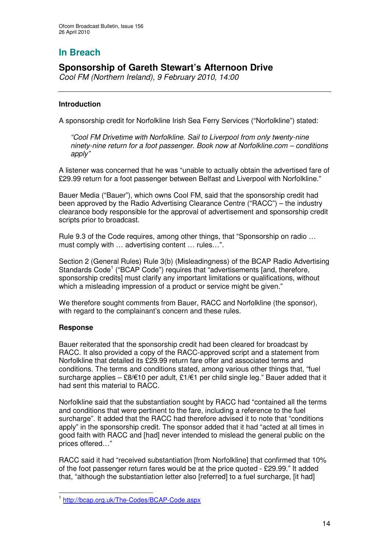# **In Breach**

# **Sponsorship of Gareth Stewart's Afternoon Drive**

*Cool FM (Northern Ireland), 9 February 2010, 14:00*

# **Introduction**

A sponsorship credit for Norfolkline Irish Sea Ferry Services ("Norfolkline") stated:

*"Cool FM Drivetime with Norfolkline. Sail to Liverpool from only twenty-nine ninety-nine return for a foot passenger. Book now at Norfolkline.com – conditions apply"*

A listener was concerned that he was "unable to actually obtain the advertised fare of £29.99 return for a foot passenger between Belfast and Liverpool with Norfolkline."

Bauer Media ("Bauer"), which owns Cool FM, said that the sponsorship credit had been approved by the Radio Advertising Clearance Centre ("RACC") – the industry clearance body responsible for the approval of advertisement and sponsorship credit scripts prior to broadcast.

Rule 9.3 of the Code requires, among other things, that "Sponsorship on radio … must comply with … advertising content … rules…".

Section 2 (General Rules) Rule 3(b) (Misleadingness) of the BCAP Radio Advertising Standards Code<sup>1</sup> ("BCAP Code") requires that "advertisements [and, therefore, sponsorship credits] must clarify any important limitations or qualifications, without which a misleading impression of a product or service might be given."

We therefore sought comments from Bauer, RACC and Norfolkline (the sponsor). with regard to the complainant's concern and these rules.

#### **Response**

Bauer reiterated that the sponsorship credit had been cleared for broadcast by RACC. It also provided a copy of the RACC-approved script and a statement from Norfolkline that detailed its £29.99 return fare offer and associated terms and conditions. The terms and conditions stated, among various other things that, "fuel surcharge applies – £8/ $\epsilon$ 10 per adult, £1/ $\epsilon$ 1 per child single leg." Bauer added that it had sent this material to RACC.

Norfolkline said that the substantiation sought by RACC had "contained all the terms and conditions that were pertinent to the fare, including a reference to the fuel surcharge". It added that the RACC had therefore advised it to note that "conditions apply" in the sponsorship credit. The sponsor added that it had "acted at all times in good faith with RACC and [had] never intended to mislead the general public on the prices offered…"

RACC said it had "received substantiation [from Norfolkline] that confirmed that 10% of the foot passenger return fares would be at the price quoted - £29.99." It added that, "although the substantiation letter also [referred] to a fuel surcharge, [it had]

<sup>1</sup> http://bcap.org.uk/The-Codes/BCAP-Code.aspx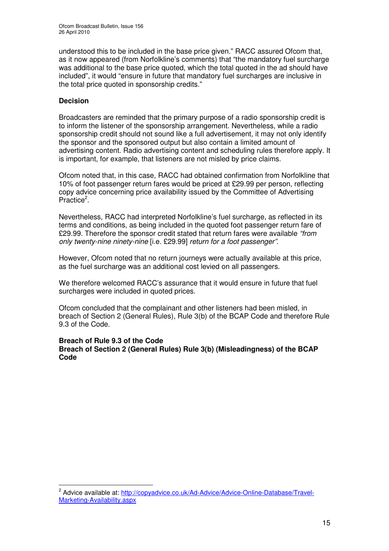understood this to be included in the base price given." RACC assured Ofcom that, as it now appeared (from Norfolkline's comments) that "the mandatory fuel surcharge was additional to the base price quoted, which the total quoted in the ad should have included", it would "ensure in future that mandatory fuel surcharges are inclusive in the total price quoted in sponsorship credits."

## **Decision**

Broadcasters are reminded that the primary purpose of a radio sponsorship credit is to inform the listener of the sponsorship arrangement. Nevertheless, while a radio sponsorship credit should not sound like a full advertisement, it may not only identify the sponsor and the sponsored output but also contain a limited amount of advertising content. Radio advertising content and scheduling rules therefore apply. It is important, for example, that listeners are not misled by price claims.

Ofcom noted that, in this case, RACC had obtained confirmation from Norfolkline that 10% of foot passenger return fares would be priced at £29.99 per person, reflecting copy advice concerning price availability issued by the Committee of Advertising Practice<sup>2</sup>.

Nevertheless, RACC had interpreted Norfolkline's fuel surcharge, as reflected in its terms and conditions, as being included in the quoted foot passenger return fare of £29.99. Therefore the sponsor credit stated that return fares were available *"from only twenty-nine ninety-nine* [i.e. £29.99] *return for a foot passenger"*.

However, Ofcom noted that no return journeys were actually available at this price, as the fuel surcharge was an additional cost levied on all passengers.

We therefore welcomed RACC's assurance that it would ensure in future that fuel surcharges were included in quoted prices.

Ofcom concluded that the complainant and other listeners had been misled, in breach of Section 2 (General Rules), Rule 3(b) of the BCAP Code and therefore Rule 9.3 of the Code.

#### **Breach of Rule 9.3 of the Code Breach of Section 2 (General Rules) Rule 3(b) (Misleadingness) of the BCAP Code**

<sup>&</sup>lt;sup>2</sup> Advice available at: http://copyadvice.co.uk/Ad-Advice/Advice-Online-Database/Travel-Marketing-Availability.aspx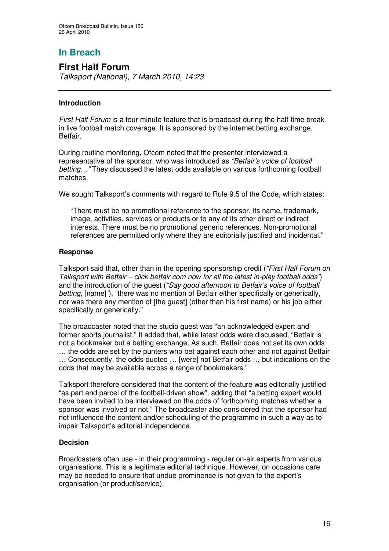# **In Breach**

# **First Half Forum** *Talksport (National), 7 March 2010, 14:23*

## **Introduction**

*First Half Forum* is a four minute feature that is broadcast during the half-time break in live football match coverage. It is sponsored by the internet betting exchange, Betfair.

During routine monitoring, Ofcom noted that the presenter interviewed a representative of the sponsor, who was introduced as *"Betfair's voice of football betting…"* They discussed the latest odds available on various forthcoming football matches.

We sought Talksport's comments with regard to Rule 9.5 of the Code, which states:

"There must be no promotional reference to the sponsor, its name, trademark, image, activities, services or products or to any of its other direct or indirect interests. There must be no promotional generic references. Non-promotional references are permitted only where they are editorially justified and incidental."

## **Response**

Talksport said that, other than in the opening sponsorship credit (*"First Half Forum on Talksport with Betfair – click betfair.com now for all the latest in-play football odds"*) and the introduction of the guest (*"Say good afternoon to Betfair's voice of football betting,* [name]*"*), "there was no mention of Betfair either specifically or generically, nor was there any mention of [the guest] (other than his first name) or his job either specifically or generically."

The broadcaster noted that the studio guest was "an acknowledged expert and former sports journalist." It added that, while latest odds were discussed, "Betfair is not a bookmaker but a betting exchange. As such, Betfair does not set its own odds … the odds are set by the punters who bet against each other and not against Betfair … Consequently, the odds quoted … [were] not Betfair odds … but indications on the odds that may be available across a range of bookmakers."

Talksport therefore considered that the content of the feature was editorially justified "as part and parcel of the football-driven show", adding that "a betting expert would have been invited to be interviewed on the odds of forthcoming matches whether a sponsor was involved or not." The broadcaster also considered that the sponsor had not influenced the content and/or scheduling of the programme in such a way as to impair Talksport's editorial independence.

#### **Decision**

Broadcasters often use - in their programming - regular on-air experts from various organisations. This is a legitimate editorial technique. However, on occasions care may be needed to ensure that undue prominence is not given to the expert's organisation (or product/service).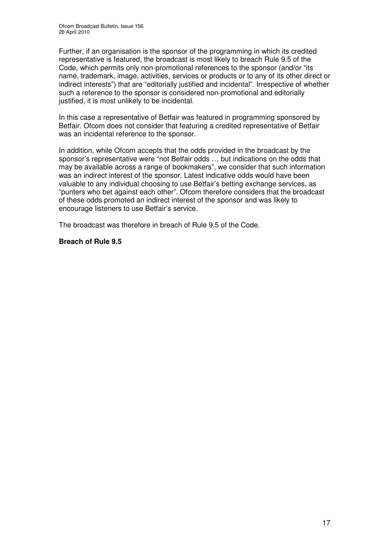Further, if an organisation is the sponsor of the programming in which its credited representative is featured, the broadcast is most likely to breach Rule 9.5 of the Code, which permits only non-promotional references to the sponsor (and/or "its name, trademark, image, activities, services or products or to any of its other direct or indirect interests") that are "editorially justified and incidental". Irrespective of whether such a reference to the sponsor is considered non-promotional and editorially justified, it is most unlikely to be incidental.

In this case a representative of Betfair was featured in programming sponsored by Betfair. Ofcom does not consider that featuring a credited representative of Betfair was an incidental reference to the sponsor.

In addition, while Ofcom accepts that the odds provided in the broadcast by the sponsor's representative were "not Betfair odds … but indications on the odds that may be available across a range of bookmakers", we consider that such information was an indirect interest of the sponsor. Latest indicative odds would have been valuable to any individual choosing to use Betfair's betting exchange services, as "punters who bet against each other". Ofcom therefore considers that the broadcast of these odds promoted an indirect interest of the sponsor and was likely to encourage listeners to use Betfair's service.

The broadcast was therefore in breach of Rule 9.5 of the Code.

#### **Breach of Rule 9.5**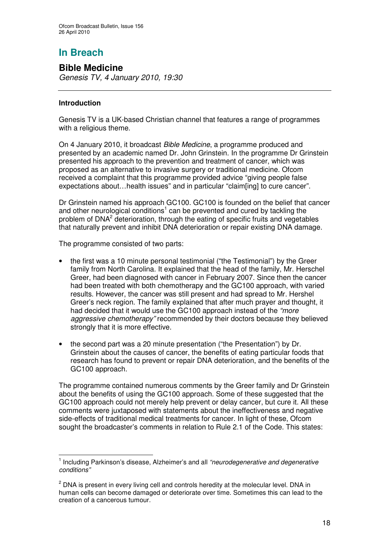# **In Breach**

# **Bible Medicine**

*Genesis TV, 4 January 2010, 19:30*

# **Introduction**

Genesis TV is a UK-based Christian channel that features a range of programmes with a religious theme.

On 4 January 2010, it broadcast *Bible Medicine*, a programme produced and presented by an academic named Dr. John Grinstein. In the programme Dr Grinstein presented his approach to the prevention and treatment of cancer, which was proposed as an alternative to invasive surgery or traditional medicine. Ofcom received a complaint that this programme provided advice "giving people false expectations about…health issues" and in particular "claim[ing] to cure cancer".

Dr Grinstein named his approach GC100. GC100 is founded on the belief that cancer and other neurological conditions<sup>1</sup> can be prevented and cured by tackling the problem of DNA<sup>2</sup> deterioration, through the eating of specific fruits and vegetables that naturally prevent and inhibit DNA deterioration or repair existing DNA damage.

The programme consisted of two parts:

- the first was a 10 minute personal testimonial ("the Testimonial") by the Greer family from North Carolina. It explained that the head of the family, Mr. Herschel Greer, had been diagnosed with cancer in February 2007. Since then the cancer had been treated with both chemotherapy and the GC100 approach, with varied results. However, the cancer was still present and had spread to Mr. Hershel Greer's neck region. The family explained that after much prayer and thought, it had decided that it would use the GC100 approach instead of the *"more aggressive chemotherapy"* recommended by their doctors because they believed strongly that it is more effective.
- the second part was a 20 minute presentation ("the Presentation") by Dr. Grinstein about the causes of cancer, the benefits of eating particular foods that research has found to prevent or repair DNA deterioration, and the benefits of the GC100 approach.

The programme contained numerous comments by the Greer family and Dr Grinstein about the benefits of using the GC100 approach. Some of these suggested that the GC100 approach could not merely help prevent or delay cancer, but cure it. All these comments were juxtaposed with statements about the ineffectiveness and negative side-effects of traditional medical treatments for cancer. In light of these, Ofcom sought the broadcaster's comments in relation to Rule 2.1 of the Code. This states:

<sup>1</sup> Including Parkinson's disease, Alzheimer's and all *"neurodegenerative and degenerative conditions"*

 $2$  DNA is present in every living cell and controls heredity at the molecular level. DNA in human cells can become damaged or deteriorate over time. Sometimes this can lead to the creation of a cancerous tumour.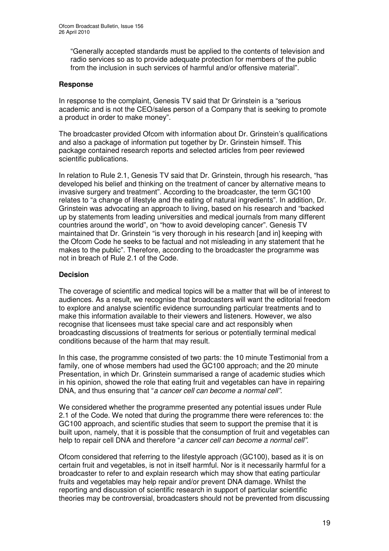"Generally accepted standards must be applied to the contents of television and radio services so as to provide adequate protection for members of the public from the inclusion in such services of harmful and/or offensive material".

#### **Response**

In response to the complaint, Genesis TV said that Dr Grinstein is a "serious academic and is not the CEO/sales person of a Company that is seeking to promote a product in order to make money".

The broadcaster provided Ofcom with information about Dr. Grinstein's qualifications and also a package of information put together by Dr. Grinstein himself. This package contained research reports and selected articles from peer reviewed scientific publications.

In relation to Rule 2.1, Genesis TV said that Dr. Grinstein, through his research, "has developed his belief and thinking on the treatment of cancer by alternative means to invasive surgery and treatment". According to the broadcaster, the term GC100 relates to "a change of lifestyle and the eating of natural ingredients". In addition, Dr. Grinstein was advocating an approach to living, based on his research and "backed up by statements from leading universities and medical journals from many different countries around the world", on "how to avoid developing cancer". Genesis TV maintained that Dr. Grinstein "is very thorough in his research [and in] keeping with the Ofcom Code he seeks to be factual and not misleading in any statement that he makes to the public". Therefore, according to the broadcaster the programme was not in breach of Rule 2.1 of the Code.

## **Decision**

The coverage of scientific and medical topics will be a matter that will be of interest to audiences. As a result, we recognise that broadcasters will want the editorial freedom to explore and analyse scientific evidence surrounding particular treatments and to make this information available to their viewers and listeners. However, we also recognise that licensees must take special care and act responsibly when broadcasting discussions of treatments for serious or potentially terminal medical conditions because of the harm that may result.

In this case, the programme consisted of two parts: the 10 minute Testimonial from a family, one of whose members had used the GC100 approach; and the 20 minute Presentation, in which Dr. Grinstein summarised a range of academic studies which in his opinion, showed the role that eating fruit and vegetables can have in repairing DNA, and thus ensuring that "*a cancer cell can become a normal cell".*

We considered whether the programme presented any potential issues under Rule 2.1 of the Code. We noted that during the programme there were references to: the GC100 approach, and scientific studies that seem to support the premise that it is built upon, namely, that it is possible that the consumption of fruit and vegetables can help to repair cell DNA and therefore "*a cancer cell can become a normal cell".*

Ofcom considered that referring to the lifestyle approach (GC100), based as it is on certain fruit and vegetables, is not in itself harmful. Nor is it necessarily harmful for a broadcaster to refer to and explain research which may show that eating particular fruits and vegetables may help repair and/or prevent DNA damage. Whilst the reporting and discussion of scientific research in support of particular scientific theories may be controversial, broadcasters should not be prevented from discussing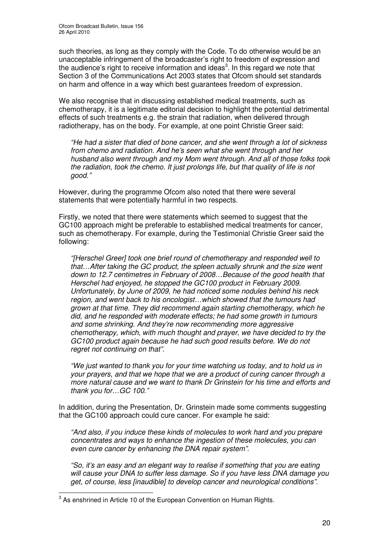such theories, as long as they comply with the Code. To do otherwise would be an unacceptable infringement of the broadcaster's right to freedom of expression and the audience's right to receive information and ideas<sup>3</sup>. In this regard we note that Section 3 of the Communications Act 2003 states that Ofcom should set standards on harm and offence in a way which best guarantees freedom of expression.

We also recognise that in discussing established medical treatments, such as chemotherapy, it is a legitimate editorial decision to highlight the potential detrimental effects of such treatments e.g. the strain that radiation, when delivered through radiotherapy, has on the body. For example, at one point Christie Greer said:

*"He had a sister that died of bone cancer, and she went through a lot of sickness from chemo and radiation. And he's seen what she went through and her husband also went through and my Mom went through. And all of those folks took the radiation, took the chemo. It just prolongs life, but that quality of life is not good."*

However, during the programme Ofcom also noted that there were several statements that were potentially harmful in two respects.

Firstly, we noted that there were statements which seemed to suggest that the GC100 approach might be preferable to established medical treatments for cancer, such as chemotherapy. For example, during the Testimonial Christie Greer said the following:

*"[Herschel Greer] took one brief round of chemotherapy and responded well to that…After taking the GC product, the spleen actually shrunk and the size went down to 12.7 centimetres in February of 2008…Because of the good health that Herschel had enjoyed, he stopped the GC100 product in February 2009. Unfortunately, by June of 2009, he had noticed some nodules behind his neck region, and went back to his oncologist…which showed that the tumours had grown at that time. They did recommend again starting chemotherapy, which he did, and he responded with moderate effects; he had some growth in tumours and some shrinking. And they're now recommending more aggressive chemotherapy, which, with much thought and prayer, we have decided to try the GC100 product again because he had such good results before. We do not regret not continuing on that".*

*"We just wanted to thank you for your time watching us today, and to hold us in your prayers, and that we hope that we are a product of curing cancer through a more natural cause and we want to thank Dr Grinstein for his time and efforts and thank you for…GC 100."*

In addition, during the Presentation, Dr. Grinstein made some comments suggesting that the GC100 approach could cure cancer. For example he said:

*"And also, if you induce these kinds of molecules to work hard and you prepare concentrates and ways to enhance the ingestion of these molecules, you can even cure cancer by enhancing the DNA repair system".*

*"So, it's an easy and an elegant way to realise if something that you are eating will cause your DNA to suffer less damage. So if you have less DNA damage you get, of course, less [inaudible] to develop cancer and neurological conditions".*

 $3$  As enshrined in Article 10 of the European Convention on Human Rights.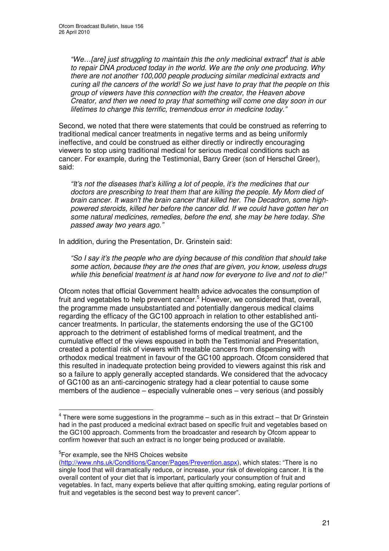*"We…[are] just struggling to maintain this the only medicinal extract 4 that is able to repair DNA produced today in the world. We are the only one producing. Why there are not another 100,000 people producing similar medicinal extracts and curing all the cancers of the world! So we just have to pray that the people on this group of viewers have this connection with the creator, the Heaven above Creator, and then we need to pray that something will come one day soon in our lifetimes to change this terrific, tremendous error in medicine today."*

Second, we noted that there were statements that could be construed as referring to traditional medical cancer treatments in negative terms and as being uniformly ineffective, and could be construed as either directly or indirectly encouraging viewers to stop using traditional medical for serious medical conditions such as cancer. For example, during the Testimonial, Barry Greer (son of Herschel Greer), said:

*"It's not the diseases that's killing a lot of people, it's the medicines that our doctors are prescribing to treat them that are killing the people. My Mom died of brain cancer. It wasn't the brain cancer that killed her. The Decadron, some highpowered steroids, killed her before the cancer did. If we could have gotten her on some natural medicines, remedies, before the end, she may be here today. She passed away two years ago."*

In addition, during the Presentation, Dr. Grinstein said:

*"So I say it's the people who are dying because of this condition that should take some action, because they are the ones that are given, you know, useless drugs while this beneficial treatment is at hand now for everyone to live and not to die!"*

Ofcom notes that official Government health advice advocates the consumption of fruit and vegetables to help prevent cancer. <sup>5</sup> However, we considered that, overall, the programme made unsubstantiated and potentially dangerous medical claims regarding the efficacy of the GC100 approach in relation to other established anticancer treatments. In particular, the statements endorsing the use of the GC100 approach to the detriment of established forms of medical treatment, and the cumulative effect of the views espoused in both the Testimonial and Presentation, created a potential risk of viewers with treatable cancers from dispensing with orthodox medical treatment in favour of the GC100 approach. Ofcom considered that this resulted in inadequate protection being provided to viewers against this risk and so a failure to apply generally accepted standards. We considered that the advocacy of GC100 as an anti-carcinogenic strategy had a clear potential to cause some members of the audience – especially vulnerable ones – very serious (and possibly

<sup>5</sup>For example, see the NHS Choices website

 $^4$  There were some suggestions in the programme – such as in this extract – that Dr Grinstein had in the past produced a medicinal extract based on specific fruit and vegetables based on the GC100 approach. Comments from the broadcaster and research by Ofcom appear to confirm however that such an extract is no longer being produced or available.

<sup>(</sup>http://www.nhs.uk/Conditions/Cancer/Pages/Prevention.aspx), which states: "There is no single food that will dramatically reduce, or increase, your risk of developing cancer. It is the overall content of your diet that is important, particularly your consumption of fruit and vegetables. In fact, many experts believe that after quitting smoking, eating regular portions of fruit and vegetables is the second best way to prevent cancer".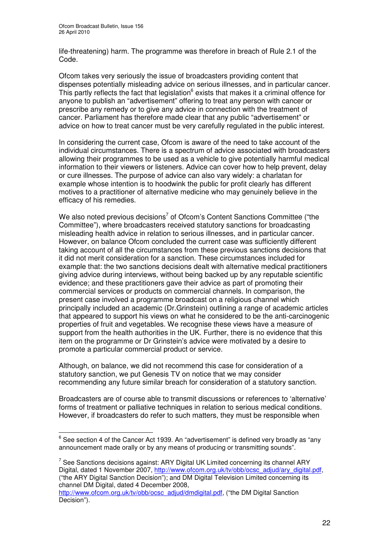life-threatening) harm. The programme was therefore in breach of Rule 2.1 of the Code.

Ofcom takes very seriously the issue of broadcasters providing content that dispenses potentially misleading advice on serious illnesses, and in particular cancer. This partly reflects the fact that legislation<sup>6</sup> exists that makes it a criminal offence for anyone to publish an "advertisement" offering to treat any person with cancer or prescribe any remedy or to give any advice in connection with the treatment of cancer. Parliament has therefore made clear that any public "advertisement" or advice on how to treat cancer must be very carefully regulated in the public interest.

In considering the current case, Ofcom is aware of the need to take account of the individual circumstances. There is a spectrum of advice associated with broadcasters allowing their programmes to be used as a vehicle to give potentially harmful medical information to their viewers or listeners. Advice can cover how to help prevent, delay or cure illnesses. The purpose of advice can also vary widely: a charlatan for example whose intention is to hoodwink the public for profit clearly has different motives to a practitioner of alternative medicine who may genuinely believe in the efficacy of his remedies.

We also noted previous decisions<sup>7</sup> of Ofcom's Content Sanctions Committee ("the Committee"), where broadcasters received statutory sanctions for broadcasting misleading health advice in relation to serious illnesses, and in particular cancer. However, on balance Ofcom concluded the current case was sufficiently different taking account of all the circumstances from these previous sanctions decisions that it did not merit consideration for a sanction. These circumstances included for example that: the two sanctions decisions dealt with alternative medical practitioners giving advice during interviews, without being backed up by any reputable scientific evidence; and these practitioners gave their advice as part of promoting their commercial services or products on commercial channels. In comparison, the present case involved a programme broadcast on a religious channel which principally included an academic (Dr.Grinstein) outlining a range of academic articles that appeared to support his views on what he considered to be the anti-carcinogenic properties of fruit and vegetables. We recognise these views have a measure of support from the health authorities in the UK. Further, there is no evidence that this item on the programme or Dr Grinstein's advice were motivated by a desire to promote a particular commercial product or service.

Although, on balance, we did not recommend this case for consideration of a statutory sanction, we put Genesis TV on notice that we may consider recommending any future similar breach for consideration of a statutory sanction.

Broadcasters are of course able to transmit discussions or references to 'alternative' forms of treatment or palliative techniques in relation to serious medical conditions. However, if broadcasters do refer to such matters, they must be responsible when

 $^6$  See section 4 of the Cancer Act 1939. An "advertisement" is defined very broadly as "any announcement made orally or by any means of producing or transmitting sounds".

 $^7$  See Sanctions decisions against: ARY Digital UK Limited concerning its channel ARY Digital, dated 1 November 2007, http://www.ofcom.org.uk/tv/obb/ocsc\_adjud/ary\_digital.pdf, ("the ARY Digital Sanction Decision"); and DM Digital Television Limited concerning its channel DM Digital, dated 4 December 2008,

http://www.ofcom.org.uk/ty/obb/ocsc\_adjud/dmdigital.pdf. ("the DM Digital Sanction Decision").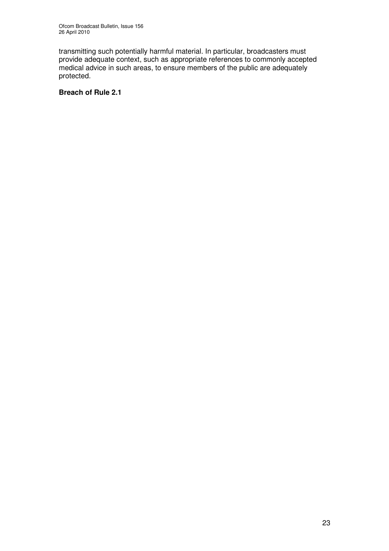transmitting such potentially harmful material. In particular, broadcasters must provide adequate context, such as appropriate references to commonly accepted medical advice in such areas, to ensure members of the public are adequately protected.

# **Breach of Rule 2.1**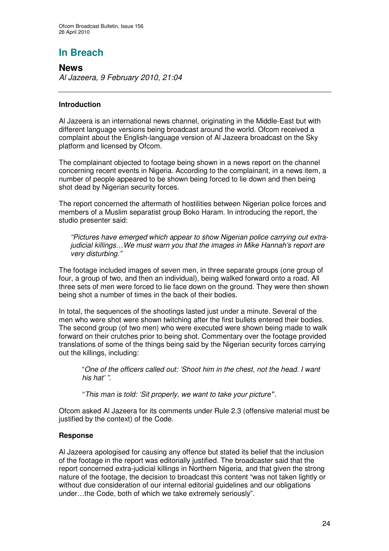# **In Breach**

**News** *Al Jazeera, 9 February 2010, 21:04*

# **Introduction**

Al Jazeera is an international news channel, originating in the Middle-East but with different language versions being broadcast around the world. Ofcom received a complaint about the English-language version of Al Jazeera broadcast on the Sky platform and licensed by Ofcom.

The complainant objected to footage being shown in a news report on the channel concerning recent events in Nigeria. According to the complainant, in a news item, a number of people appeared to be shown being forced to lie down and then being shot dead by Nigerian security forces.

The report concerned the aftermath of hostilities between Nigerian police forces and members of a Muslim separatist group Boko Haram. In introducing the report, the studio presenter said:

*"Pictures have emerged which appear to show Nigerian police carrying out extrajudicial killings…We must warn you that the images in Mike Hannah's report are very disturbing."*

The footage included images of seven men, in three separate groups (one group of four, a group of two, and then an individual), being walked forward onto a road. All three sets of men were forced to lie face down on the ground. They were then shown being shot a number of times in the back of their bodies.

In total, the sequences of the shootings lasted just under a minute. Several of the men who were shot were shown twitching after the first bullets entered their bodies. The second group (of two men) who were executed were shown being made to walk forward on their crutches prior to being shot. Commentary over the footage provided translations of some of the things being said by the Nigerian security forces carrying out the killings, including:

"*One of the officers called out: 'Shoot him in the chest, not the head. I want his hat' ".*

"*This man is told: 'Sit properly, we want to take your picture'*".

Ofcom asked Al Jazeera for its comments under Rule 2.3 (offensive material must be justified by the context) of the Code.

# **Response**

Al Jazeera apologised for causing any offence but stated its belief that the inclusion of the footage in the report was editorially justified. The broadcaster said that the report concerned extra-judicial killings in Northern Nigeria, and that given the strong nature of the footage, the decision to broadcast this content "was not taken lightly or without due consideration of our internal editorial guidelines and our obligations under…the Code, both of which we take extremely seriously".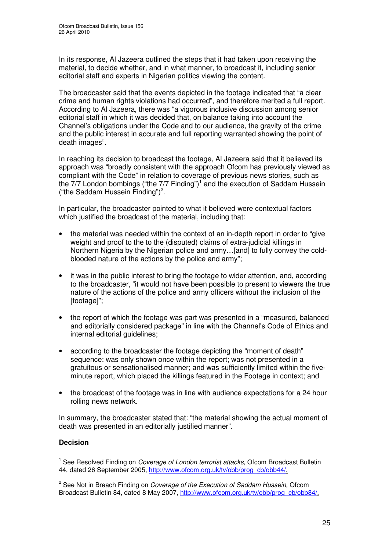In its response, Al Jazeera outlined the steps that it had taken upon receiving the material, to decide whether, and in what manner, to broadcast it, including senior editorial staff and experts in Nigerian politics viewing the content.

The broadcaster said that the events depicted in the footage indicated that "a clear crime and human rights violations had occurred", and therefore merited a full report. According to Al Jazeera, there was "a vigorous inclusive discussion among senior editorial staff in which it was decided that, on balance taking into account the Channel's obligations under the Code and to our audience, the gravity of the crime and the public interest in accurate and full reporting warranted showing the point of death images".

In reaching its decision to broadcast the footage, Al Jazeera said that it believed its approach was "broadly consistent with the approach Ofcom has previously viewed as compliant with the Code" in relation to coverage of previous news stories, such as the 7/7 London bombings ("the 7/7 Finding")<sup>1</sup> and the execution of Saddam Hussein ("the Saddam Hussein Finding")<sup>2</sup>.

In particular, the broadcaster pointed to what it believed were contextual factors which justified the broadcast of the material, including that:

- the material was needed within the context of an in-depth report in order to "give weight and proof to the to the (disputed) claims of extra-judicial killings in Northern Nigeria by the Nigerian police and army…[and] to fully convey the coldblooded nature of the actions by the police and army";
- it was in the public interest to bring the footage to wider attention, and, according to the broadcaster, "it would not have been possible to present to viewers the true nature of the actions of the police and army officers without the inclusion of the [footage]";
- the report of which the footage was part was presented in a "measured, balanced" and editorially considered package" in line with the Channel's Code of Ethics and internal editorial guidelines;
- according to the broadcaster the footage depicting the "moment of death" sequence: was only shown once within the report; was not presented in a gratuitous or sensationalised manner; and was sufficiently limited within the fiveminute report, which placed the killings featured in the Footage in context; and
- the broadcast of the footage was in line with audience expectations for a 24 hour rolling news network.

In summary, the broadcaster stated that: "the material showing the actual moment of death was presented in an editorially justified manner".

#### **Decision**

<sup>1</sup> See Resolved Finding on *Coverage of London terrorist attacks*, Ofcom Broadcast Bulletin 44, dated 26 September 2005, http://www.ofcom.org.uk/tv/obb/prog\_cb/obb44/.

<sup>2</sup> See Not in Breach Finding on *Coverage of the Execution of Saddam Hussein,* Ofcom Broadcast Bulletin 84, dated 8 May 2007, http://www.ofcom.org.uk/tv/obb/prog\_cb/obb84/.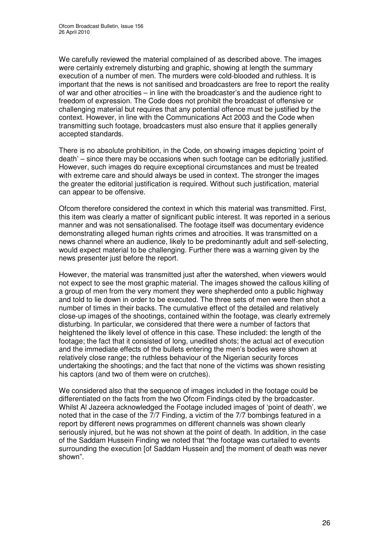We carefully reviewed the material complained of as described above. The images were certainly extremely disturbing and graphic, showing at length the summary execution of a number of men. The murders were cold-blooded and ruthless. It is important that the news is not sanitised and broadcasters are free to report the reality of war and other atrocities – in line with the broadcaster's and the audience right to freedom of expression. The Code does not prohibit the broadcast of offensive or challenging material but requires that any potential offence must be justified by the context. However, in line with the Communications Act 2003 and the Code when transmitting such footage, broadcasters must also ensure that it applies generally accepted standards.

There is no absolute prohibition, in the Code, on showing images depicting 'point of death' – since there may be occasions when such footage can be editorially justified. However, such images do require exceptional circumstances and must be treated with extreme care and should always be used in context. The stronger the images the greater the editorial justification is required. Without such justification, material can appear to be offensive.

Ofcom therefore considered the context in which this material was transmitted. First, this item was clearly a matter of significant public interest. It was reported in a serious manner and was not sensationalised. The footage itself was documentary evidence demonstrating alleged human rights crimes and atrocities. It was transmitted on a news channel where an audience, likely to be predominantly adult and self-selecting, would expect material to be challenging. Further there was a warning given by the news presenter just before the report.

However, the material was transmitted just after the watershed, when viewers would not expect to see the most graphic material. The images showed the callous killing of a group of men from the very moment they were shepherded onto a public highway and told to lie down in order to be executed. The three sets of men were then shot a number of times in their backs. The cumulative effect of the detailed and relatively close-up images of the shootings, contained within the footage, was clearly extremely disturbing. In particular, we considered that there were a number of factors that heightened the likely level of offence in this case. These included: the length of the footage; the fact that it consisted of long, unedited shots; the actual act of execution and the immediate effects of the bullets entering the men's bodies were shown at relatively close range; the ruthless behaviour of the Nigerian security forces undertaking the shootings; and the fact that none of the victims was shown resisting his captors (and two of them were on crutches).

We considered also that the sequence of images included in the footage could be differentiated on the facts from the two Ofcom Findings cited by the broadcaster. Whilst Al Jazeera acknowledged the Footage included images of 'point of death', we noted that in the case of the 7/7 Finding, a victim of the 7/7 bombings featured in a report by different news programmes on different channels was shown clearly seriously injured, but he was not shown at the point of death. In addition, in the case of the Saddam Hussein Finding we noted that "the footage was curtailed to events surrounding the execution [of Saddam Hussein and] the moment of death was never shown".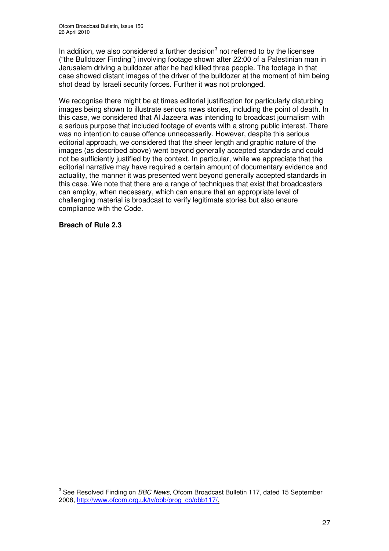In addition, we also considered a further decision<sup>3</sup> not referred to by the licensee ("the Bulldozer Finding") involving footage shown after 22:00 of a Palestinian man in Jerusalem driving a bulldozer after he had killed three people. The footage in that case showed distant images of the driver of the bulldozer at the moment of him being shot dead by Israeli security forces. Further it was not prolonged.

We recognise there might be at times editorial justification for particularly disturbing images being shown to illustrate serious news stories, including the point of death. In this case, we considered that Al Jazeera was intending to broadcast journalism with a serious purpose that included footage of events with a strong public interest. There was no intention to cause offence unnecessarily. However, despite this serious editorial approach, we considered that the sheer length and graphic nature of the images (as described above) went beyond generally accepted standards and could not be sufficiently justified by the context. In particular, while we appreciate that the editorial narrative may have required a certain amount of documentary evidence and actuality, the manner it was presented went beyond generally accepted standards in this case. We note that there are a range of techniques that exist that broadcasters can employ, when necessary, which can ensure that an appropriate level of challenging material is broadcast to verify legitimate stories but also ensure compliance with the Code.

#### **Breach of Rule 2.3**

<sup>3</sup> See Resolved Finding on *BBC News,* Ofcom Broadcast Bulletin 117, dated 15 September 2008, http://www.ofcom.org.uk/tv/obb/prog\_cb/obb117/.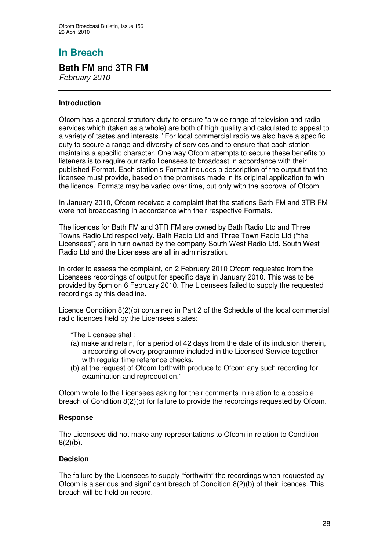# **In Breach**

# **Bath FM** and **3TR FM**

*February 2010*

## **Introduction**

Ofcom has a general statutory duty to ensure "a wide range of television and radio services which (taken as a whole) are both of high quality and calculated to appeal to a variety of tastes and interests." For local commercial radio we also have a specific duty to secure a range and diversity of services and to ensure that each station maintains a specific character. One way Ofcom attempts to secure these benefits to listeners is to require our radio licensees to broadcast in accordance with their published Format. Each station's Format includes a description of the output that the licensee must provide, based on the promises made in its original application to win the licence. Formats may be varied over time, but only with the approval of Ofcom.

In January 2010, Ofcom received a complaint that the stations Bath FM and 3TR FM were not broadcasting in accordance with their respective Formats.

The licences for Bath FM and 3TR FM are owned by Bath Radio Ltd and Three Towns Radio Ltd respectively. Bath Radio Ltd and Three Town Radio Ltd ("the Licensees") are in turn owned by the company South West Radio Ltd. South West Radio Ltd and the Licensees are all in administration.

In order to assess the complaint, on 2 February 2010 Ofcom requested from the Licensees recordings of output for specific days in January 2010. This was to be provided by 5pm on 6 February 2010. The Licensees failed to supply the requested recordings by this deadline.

Licence Condition 8(2)(b) contained in Part 2 of the Schedule of the local commercial radio licences held by the Licensees states:

"The Licensee shall:

- (a) make and retain, for a period of 42 days from the date of its inclusion therein, a recording of every programme included in the Licensed Service together with regular time reference checks.
- (b) at the request of Ofcom forthwith produce to Ofcom any such recording for examination and reproduction."

Ofcom wrote to the Licensees asking for their comments in relation to a possible breach of Condition 8(2)(b) for failure to provide the recordings requested by Ofcom.

#### **Response**

The Licensees did not make any representations to Ofcom in relation to Condition  $8(2)(b)$ .

#### **Decision**

The failure by the Licensees to supply "forthwith" the recordings when requested by Ofcom is a serious and significant breach of Condition  $8(2)(b)$  of their licences. This breach will be held on record.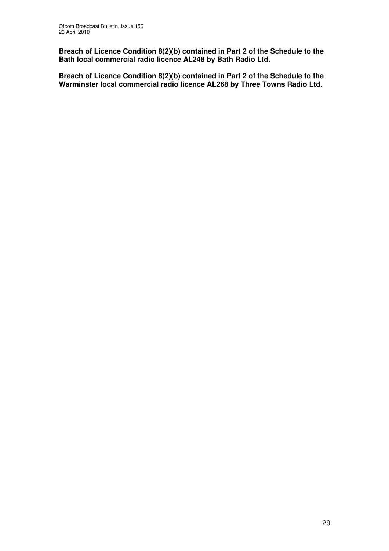**Breach of Licence Condition 8(2)(b) contained in Part 2 of the Schedule to the Bath local commercial radio licence AL248 by Bath Radio Ltd.**

**Breach of Licence Condition 8(2)(b) contained in Part 2 of the Schedule to the Warminster local commercial radio licence AL268 by Three Towns Radio Ltd.**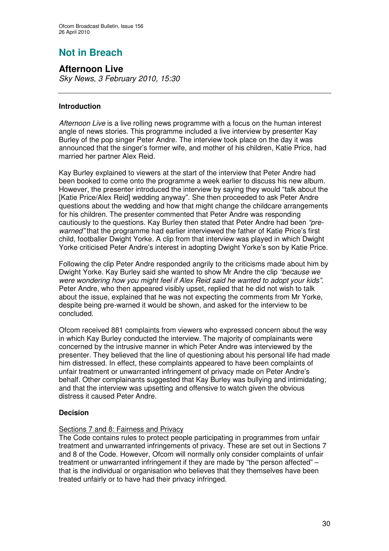# **Not in Breach**

**Afternoon Live** *Sky News, 3 February 2010, 15:30*

## **Introduction**

*Afternoon Live* is a live rolling news programme with a focus on the human interest angle of news stories. This programme included a live interview by presenter Kay Burley of the pop singer Peter Andre. The interview took place on the day it was announced that the singer's former wife, and mother of his children, Katie Price, had married her partner Alex Reid.

Kay Burley explained to viewers at the start of the interview that Peter Andre had been booked to come onto the programme a week earlier to discuss his new album. However, the presenter introduced the interview by saying they would "talk about the [Katie Price/Alex Reid] wedding anyway". She then proceeded to ask Peter Andre questions about the wedding and how that might change the childcare arrangements for his children. The presenter commented that Peter Andre was responding cautiously to the questions. Kay Burley then stated that Peter Andre had been *"prewarned"* that the programme had earlier interviewed the father of Katie Price's first child, footballer Dwight Yorke. A clip from that interview was played in which Dwight Yorke criticised Peter Andre's interest in adopting Dwight Yorke's son by Katie Price.

Following the clip Peter Andre responded angrily to the criticisms made about him by Dwight Yorke. Kay Burley said she wanted to show Mr Andre the clip *"because we were wondering how you might feel if Alex Reid said he wanted to adopt your kids"*. Peter Andre, who then appeared visibly upset, replied that he did not wish to talk about the issue, explained that he was not expecting the comments from Mr Yorke, despite being pre-warned it would be shown, and asked for the interview to be concluded.

Ofcom received 881 complaints from viewers who expressed concern about the way in which Kay Burley conducted the interview. The majority of complainants were concerned by the intrusive manner in which Peter Andre was interviewed by the presenter. They believed that the line of questioning about his personal life had made him distressed. In effect, these complaints appeared to have been complaints of unfair treatment or unwarranted infringement of privacy made on Peter Andre's behalf. Other complainants suggested that Kay Burley was bullying and intimidating; and that the interview was upsetting and offensive to watch given the obvious distress it caused Peter Andre.

# **Decision**

# Sections 7 and 8: Fairness and Privacy

The Code contains rules to protect people participating in programmes from unfair treatment and unwarranted infringements of privacy. These are set out in Sections 7 and 8 of the Code. However, Ofcom will normally only consider complaints of unfair treatment or unwarranted infringement if they are made by "the person affected" – that is the individual or organisation who believes that they themselves have been treated unfairly or to have had their privacy infringed.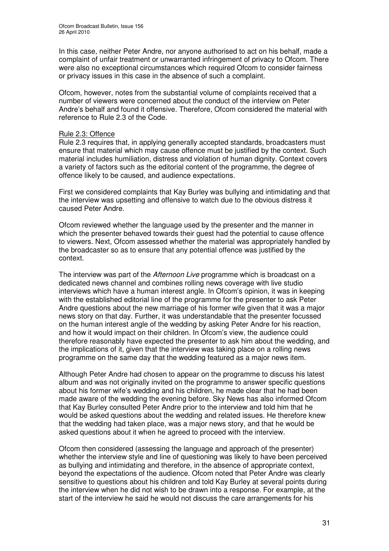In this case, neither Peter Andre, nor anyone authorised to act on his behalf, made a complaint of unfair treatment or unwarranted infringement of privacy to Ofcom. There were also no exceptional circumstances which required Ofcom to consider fairness or privacy issues in this case in the absence of such a complaint.

Ofcom, however, notes from the substantial volume of complaints received that a number of viewers were concerned about the conduct of the interview on Peter Andre's behalf and found it offensive. Therefore, Ofcom considered the material with reference to Rule 2.3 of the Code.

#### Rule 2.3: Offence

Rule 2.3 requires that, in applying generally accepted standards, broadcasters must ensure that material which may cause offence must be justified by the context. Such material includes humiliation, distress and violation of human dignity. Context covers a variety of factors such as the editorial content of the programme, the degree of offence likely to be caused, and audience expectations.

First we considered complaints that Kay Burley was bullying and intimidating and that the interview was upsetting and offensive to watch due to the obvious distress it caused Peter Andre.

Ofcom reviewed whether the language used by the presenter and the manner in which the presenter behaved towards their guest had the potential to cause offence to viewers. Next, Ofcom assessed whether the material was appropriately handled by the broadcaster so as to ensure that any potential offence was justified by the context.

The interview was part of the *Afternoon Live* programme which is broadcast on a dedicated news channel and combines rolling news coverage with live studio interviews which have a human interest angle. In Ofcom's opinion, it was in keeping with the established editorial line of the programme for the presenter to ask Peter Andre questions about the new marriage of his former wife given that it was a major news story on that day. Further, it was understandable that the presenter focussed on the human interest angle of the wedding by asking Peter Andre for his reaction, and how it would impact on their children. In Ofcom's view, the audience could therefore reasonably have expected the presenter to ask him about the wedding, and the implications of it, given that the interview was taking place on a rolling news programme on the same day that the wedding featured as a major news item.

Although Peter Andre had chosen to appear on the programme to discuss his latest album and was not originally invited on the programme to answer specific questions about his former wife's wedding and his children, he made clear that he had been made aware of the wedding the evening before. Sky News has also informed Ofcom that Kay Burley consulted Peter Andre prior to the interview and told him that he would be asked questions about the wedding and related issues. He therefore knew that the wedding had taken place, was a major news story, and that he would be asked questions about it when he agreed to proceed with the interview.

Ofcom then considered (assessing the language and approach of the presenter) whether the interview style and line of questioning was likely to have been perceived as bullying and intimidating and therefore, in the absence of appropriate context, beyond the expectations of the audience. Ofcom noted that Peter Andre was clearly sensitive to questions about his children and told Kay Burley at several points during the interview when he did not wish to be drawn into a response. For example, at the start of the interview he said he would not discuss the care arrangements for his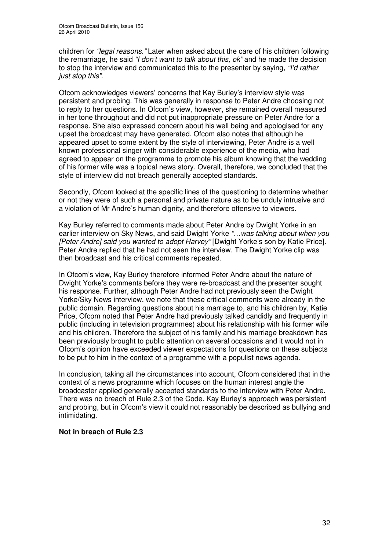children for *"legal reasons."* Later when asked about the care of his children following the remarriage, he said *"I don't want to talk about this, ok"* and he made the decision to stop the interview and communicated this to the presenter by saying, *"I'd rather just stop this"*.

Ofcom acknowledges viewers' concerns that Kay Burley's interview style was persistent and probing. This was generally in response to Peter Andre choosing not to reply to her questions. In Ofcom's view, however, she remained overall measured in her tone throughout and did not put inappropriate pressure on Peter Andre for a response. She also expressed concern about his well being and apologised for any upset the broadcast may have generated. Ofcom also notes that although he appeared upset to some extent by the style of interviewing, Peter Andre is a well known professional singer with considerable experience of the media, who had agreed to appear on the programme to promote his album knowing that the wedding of his former wife was a topical news story. Overall, therefore, we concluded that the style of interview did not breach generally accepted standards.

Secondly, Ofcom looked at the specific lines of the questioning to determine whether or not they were of such a personal and private nature as to be unduly intrusive and a violation of Mr Andre's human dignity, and therefore offensive to viewers.

Kay Burley referred to comments made about Peter Andre by Dwight Yorke in an earlier interview on Sky News, and said Dwight Yorke *"…was talking about when you [Peter Andre] said you wanted to adopt Harvey"* [Dwight Yorke's son by Katie Price]. Peter Andre replied that he had not seen the interview. The Dwight Yorke clip was then broadcast and his critical comments repeated.

In Ofcom's view, Kay Burley therefore informed Peter Andre about the nature of Dwight Yorke's comments before they were re-broadcast and the presenter sought his response. Further, although Peter Andre had not previously seen the Dwight Yorke/Sky News interview, we note that these critical comments were already in the public domain. Regarding questions about his marriage to, and his children by, Katie Price, Ofcom noted that Peter Andre had previously talked candidly and frequently in public (including in television programmes) about his relationship with his former wife and his children. Therefore the subject of his family and his marriage breakdown has been previously brought to public attention on several occasions and it would not in Ofcom's opinion have exceeded viewer expectations for questions on these subjects to be put to him in the context of a programme with a populist news agenda.

In conclusion, taking all the circumstances into account, Ofcom considered that in the context of a news programme which focuses on the human interest angle the broadcaster applied generally accepted standards to the interview with Peter Andre. There was no breach of Rule 2.3 of the Code. Kay Burley's approach was persistent and probing, but in Ofcom's view it could not reasonably be described as bullying and intimidating.

#### **Not in breach of Rule 2.3**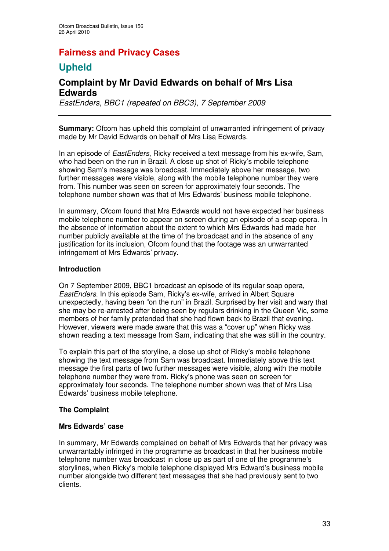# **Fairness and Privacy Cases**

# **Upheld**

# **Complaint by Mr David Edwards on behalf of Mrs Lisa Edwards**

*EastEnders, BBC1 (repeated on BBC3), 7 September 2009*

**Summary:** Ofcom has upheld this complaint of unwarranted infringement of privacy made by Mr David Edwards on behalf of Mrs Lisa Edwards.

In an episode of *EastEnders*, Ricky received a text message from his ex-wife, Sam, who had been on the run in Brazil. A close up shot of Ricky's mobile telephone showing Sam's message was broadcast. Immediately above her message, two further messages were visible, along with the mobile telephone number they were from. This number was seen on screen for approximately four seconds. The telephone number shown was that of Mrs Edwards' business mobile telephone.

In summary, Ofcom found that Mrs Edwards would not have expected her business mobile telephone number to appear on screen during an episode of a soap opera. In the absence of information about the extent to which Mrs Edwards had made her number publicly available at the time of the broadcast and in the absence of any justification for its inclusion, Ofcom found that the footage was an unwarranted infringement of Mrs Edwards' privacy.

#### **Introduction**

On 7 September 2009, BBC1 broadcast an episode of its regular soap opera, *EastEnders*. In this episode Sam, Ricky's ex-wife, arrived in Albert Square unexpectedly, having been "on the run" in Brazil. Surprised by her visit and wary that she may be re-arrested after being seen by regulars drinking in the Queen Vic, some members of her family pretended that she had flown back to Brazil that evening. However, viewers were made aware that this was a "cover up" when Ricky was shown reading a text message from Sam, indicating that she was still in the country.

To explain this part of the storyline, a close up shot of Ricky's mobile telephone showing the text message from Sam was broadcast. Immediately above this text message the first parts of two further messages were visible, along with the mobile telephone number they were from. Ricky's phone was seen on screen for approximately four seconds. The telephone number shown was that of Mrs Lisa Edwards' business mobile telephone.

# **The Complaint**

#### **Mrs Edwards' case**

In summary, Mr Edwards complained on behalf of Mrs Edwards that her privacy was unwarrantably infringed in the programme as broadcast in that her business mobile telephone number was broadcast in close up as part of one of the programme's storylines, when Ricky's mobile telephone displayed Mrs Edward's business mobile number alongside two different text messages that she had previously sent to two clients.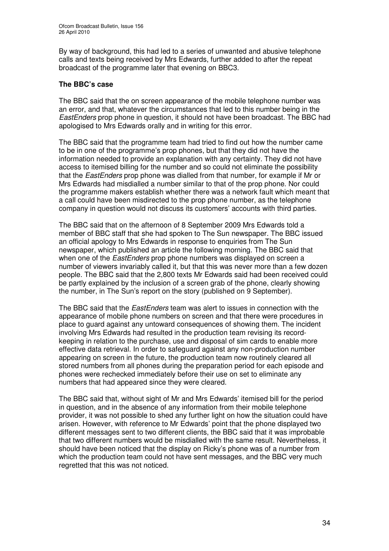By way of background, this had led to a series of unwanted and abusive telephone calls and texts being received by Mrs Edwards, further added to after the repeat broadcast of the programme later that evening on BBC3.

## **The BBC's case**

The BBC said that the on screen appearance of the mobile telephone number was an error, and that, whatever the circumstances that led to this number being in the *EastEnders* prop phone in question, it should not have been broadcast. The BBC had apologised to Mrs Edwards orally and in writing for this error.

The BBC said that the programme team had tried to find out how the number came to be in one of the programme's prop phones, but that they did not have the information needed to provide an explanation with any certainty. They did not have access to itemised billing for the number and so could not eliminate the possibility that the *EastEnders* prop phone was dialled from that number, for example if Mr or Mrs Edwards had misdialled a number similar to that of the prop phone. Nor could the programme makers establish whether there was a network fault which meant that a call could have been misdirected to the prop phone number, as the telephone company in question would not discuss its customers' accounts with third parties.

The BBC said that on the afternoon of 8 September 2009 Mrs Edwards told a member of BBC staff that she had spoken to The Sun newspaper. The BBC issued an official apology to Mrs Edwards in response to enquiries from The Sun newspaper, which published an article the following morning. The BBC said that when one of the *EastEnders* prop phone numbers was displayed on screen a number of viewers invariably called it, but that this was never more than a few dozen people. The BBC said that the 2,800 texts Mr Edwards said had been received could be partly explained by the inclusion of a screen grab of the phone, clearly showing the number, in The Sun's report on the story (published on 9 September).

The BBC said that the *EastEnders* team was alert to issues in connection with the appearance of mobile phone numbers on screen and that there were procedures in place to guard against any untoward consequences of showing them. The incident involving Mrs Edwards had resulted in the production team revising its recordkeeping in relation to the purchase, use and disposal of sim cards to enable more effective data retrieval. In order to safeguard against any non-production number appearing on screen in the future, the production team now routinely cleared all stored numbers from all phones during the preparation period for each episode and phones were rechecked immediately before their use on set to eliminate any numbers that had appeared since they were cleared.

The BBC said that, without sight of Mr and Mrs Edwards' itemised bill for the period in question, and in the absence of any information from their mobile telephone provider, it was not possible to shed any further light on how the situation could have arisen. However, with reference to Mr Edwards' point that the phone displayed two different messages sent to two different clients, the BBC said that it was improbable that two different numbers would be misdialled with the same result. Nevertheless, it should have been noticed that the display on Ricky's phone was of a number from which the production team could not have sent messages, and the BBC very much regretted that this was not noticed.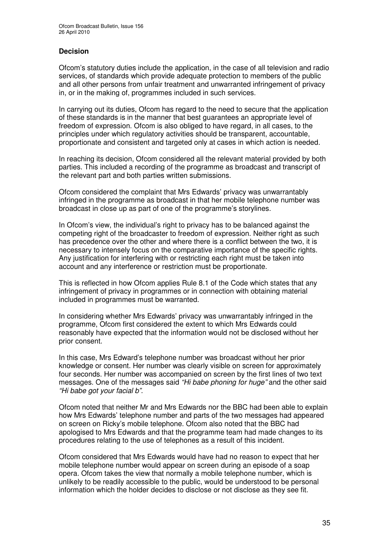## **Decision**

Ofcom's statutory duties include the application, in the case of all television and radio services, of standards which provide adequate protection to members of the public and all other persons from unfair treatment and unwarranted infringement of privacy in, or in the making of, programmes included in such services.

In carrying out its duties, Ofcom has regard to the need to secure that the application of these standards is in the manner that best guarantees an appropriate level of freedom of expression. Ofcom is also obliged to have regard, in all cases, to the principles under which regulatory activities should be transparent, accountable, proportionate and consistent and targeted only at cases in which action is needed.

In reaching its decision, Ofcom considered all the relevant material provided by both parties. This included a recording of the programme as broadcast and transcript of the relevant part and both parties written submissions.

Ofcom considered the complaint that Mrs Edwards' privacy was unwarrantably infringed in the programme as broadcast in that her mobile telephone number was broadcast in close up as part of one of the programme's storylines.

In Ofcom's view, the individual's right to privacy has to be balanced against the competing right of the broadcaster to freedom of expression. Neither right as such has precedence over the other and where there is a conflict between the two, it is necessary to intensely focus on the comparative importance of the specific rights. Any justification for interfering with or restricting each right must be taken into account and any interference or restriction must be proportionate.

This is reflected in how Ofcom applies Rule 8.1 of the Code which states that any infringement of privacy in programmes or in connection with obtaining material included in programmes must be warranted.

In considering whether Mrs Edwards' privacy was unwarrantably infringed in the programme, Ofcom first considered the extent to which Mrs Edwards could reasonably have expected that the information would not be disclosed without her prior consent.

In this case, Mrs Edward's telephone number was broadcast without her prior knowledge or consent. Her number was clearly visible on screen for approximately four seconds. Her number was accompanied on screen by the first lines of two text messages. One of the messages said *"Hi babe phoning for huge"* and the other said *"Hi babe got your facial b"*.

Ofcom noted that neither Mr and Mrs Edwards nor the BBC had been able to explain how Mrs Edwards' telephone number and parts of the two messages had appeared on screen on Ricky's mobile telephone. Ofcom also noted that the BBC had apologised to Mrs Edwards and that the programme team had made changes to its procedures relating to the use of telephones as a result of this incident.

Ofcom considered that Mrs Edwards would have had no reason to expect that her mobile telephone number would appear on screen during an episode of a soap opera. Ofcom takes the view that normally a mobile telephone number, which is unlikely to be readily accessible to the public, would be understood to be personal information which the holder decides to disclose or not disclose as they see fit.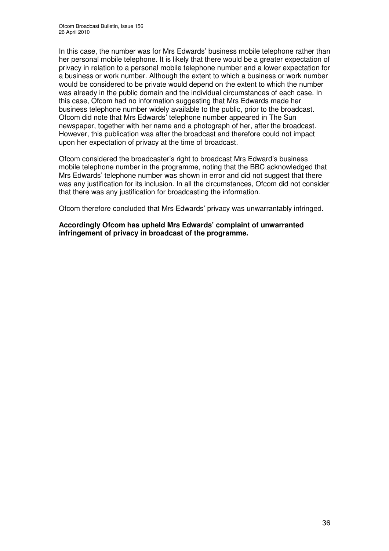In this case, the number was for Mrs Edwards' business mobile telephone rather than her personal mobile telephone. It is likely that there would be a greater expectation of privacy in relation to a personal mobile telephone number and a lower expectation for a business or work number. Although the extent to which a business or work number would be considered to be private would depend on the extent to which the number was already in the public domain and the individual circumstances of each case. In this case, Ofcom had no information suggesting that Mrs Edwards made her business telephone number widely available to the public, prior to the broadcast. Ofcom did note that Mrs Edwards' telephone number appeared in The Sun newspaper, together with her name and a photograph of her, after the broadcast. However, this publication was after the broadcast and therefore could not impact upon her expectation of privacy at the time of broadcast.

Ofcom considered the broadcaster's right to broadcast Mrs Edward's business mobile telephone number in the programme, noting that the BBC acknowledged that Mrs Edwards' telephone number was shown in error and did not suggest that there was any justification for its inclusion. In all the circumstances, Ofcom did not consider that there was any justification for broadcasting the information.

Ofcom therefore concluded that Mrs Edwards' privacy was unwarrantably infringed.

**Accordingly Ofcom has upheld Mrs Edwards' complaint of unwarranted infringement of privacy in broadcast of the programme.**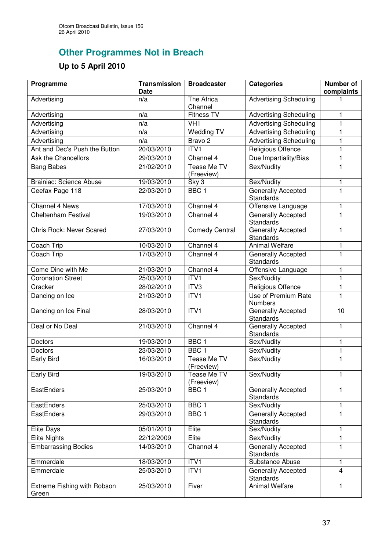# **Other Programmes Not in Breach**

# **Up to 5 April 2010**

| Programme                            | <b>Transmission</b><br><b>Date</b> | <b>Broadcaster</b>               | <b>Categories</b>                            | <b>Number of</b><br>complaints |
|--------------------------------------|------------------------------------|----------------------------------|----------------------------------------------|--------------------------------|
| Advertising                          | n/a                                | The Africa<br>Channel            | <b>Advertising Scheduling</b>                |                                |
| Advertising                          | n/a                                | <b>Fitness TV</b>                | <b>Advertising Scheduling</b>                | 1                              |
| Advertising                          | n/a                                | $\overline{V}$ H1                | <b>Advertising Scheduling</b>                | 1                              |
| Advertising                          | n/a                                | <b>Wedding TV</b>                | <b>Advertising Scheduling</b>                | 1                              |
| Advertising                          | n/a                                | Bravo <sub>2</sub>               | <b>Advertising Scheduling</b>                | 1                              |
| Ant and Dec's Push the Button        | 20/03/2010                         | ITV1                             | <b>Religious Offence</b>                     | 1                              |
| Ask the Chancellors                  | 29/03/2010                         | Channel 4                        | Due Impartiality/Bias                        | $\mathbf{1}$                   |
| <b>Bang Babes</b>                    | 21/02/2010                         | Tease Me TV<br>(Freeview)        | Sex/Nudity                                   | $\mathbf{1}$                   |
| <b>Brainiac: Science Abuse</b>       | 19/03/2010                         | Sky 3                            | Sex/Nudity                                   | 1                              |
| Ceefax Page 118                      | 22/03/2010                         | BBC <sub>1</sub>                 | <b>Generally Accepted</b><br>Standards       | $\mathbf{1}$                   |
| Channel 4 News                       | 17/03/2010                         | Channel 4                        | Offensive Language                           | 1                              |
| <b>Cheltenham Festival</b>           | 19/03/2010                         | Channel 4                        | <b>Generally Accepted</b><br>Standards       | 1                              |
| <b>Chris Rock: Never Scared</b>      | 27/03/2010                         | <b>Comedy Central</b>            | <b>Generally Accepted</b><br>Standards       | 1                              |
| Coach Trip                           | 10/03/2010                         | Channel 4                        | <b>Animal Welfare</b>                        | 1                              |
| Coach Trip                           | 17/03/2010                         | Channel 4                        | Generally Accepted<br><b>Standards</b>       | $\mathbf{1}$                   |
| Come Dine with Me                    | 21/03/2010                         | Channel 4                        | Offensive Language                           | $\mathbf{1}$                   |
| <b>Coronation Street</b>             | 25/03/2010                         | ITV1                             | Sex/Nudity                                   | 1                              |
| Cracker                              | 28/02/2010                         | ITV <sub>3</sub>                 | Religious Offence                            | 1                              |
| Dancing on Ice                       | 21/03/2010                         | ITV1                             | <b>Use of Premium Rate</b><br><b>Numbers</b> | $\mathbf{1}$                   |
| Dancing on Ice Final                 | 28/03/2010                         | ITVI                             | Generally Accepted<br><b>Standards</b>       | 10                             |
| Deal or No Deal                      | 21/03/2010                         | Channel 4                        | Generally Accepted<br>Standards              | $\mathbf{1}$                   |
| <b>Doctors</b>                       | 19/03/2010                         | BBC <sub>1</sub>                 | Sex/Nudity                                   | 1                              |
| <b>Doctors</b>                       | 23/03/2010                         | BBC <sub>1</sub>                 | Sex/Nudity                                   | $\mathbf{1}$                   |
| <b>Early Bird</b>                    | 16/03/2010                         | <b>Tease Me TV</b><br>(Freeview) | Sex/Nudity                                   | $\mathbf{1}$                   |
| Early Bird                           | 19/03/2010                         | Tease Me TV<br>(Freeview)        | Sex/Nudity                                   | 1                              |
| EastEnders                           | 25/03/2010                         | BBC <sub>1</sub>                 | Generally Accepted<br><b>Standards</b>       | 1                              |
| EastEnders                           | 25/03/2010                         | BBC <sub>1</sub>                 | Sex/Nudity                                   | 1                              |
| EastEnders                           | 29/03/2010                         | BBC <sub>1</sub>                 | Generally Accepted<br><b>Standards</b>       | 1                              |
| <b>Elite Days</b>                    | 05/01/2010                         | Elite                            | Sex/Nudity                                   | 1                              |
| <b>Elite Nights</b>                  | 22/12/2009                         | Elite                            | Sex/Nudity                                   | 1                              |
| <b>Embarrassing Bodies</b>           | 14/03/2010                         | Channel 4                        | Generally Accepted<br>Standards              | $\mathbf{1}$                   |
| Emmerdale                            | 18/03/2010                         | ITVI                             | Substance Abuse                              | $\mathbf{1}$                   |
| Emmerdale                            | 25/03/2010                         | ITV1                             | Generally Accepted<br>Standards              | 4                              |
| Extreme Fishing with Robson<br>Green | 25/03/2010                         | Fiver                            | <b>Animal Welfare</b>                        | 1                              |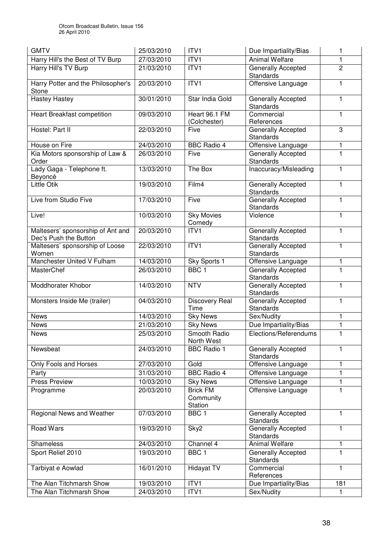| <b>GMTV</b>                                                | 25/03/2010 | ITV1                                           | Due Impartiality/Bias                         | 1              |
|------------------------------------------------------------|------------|------------------------------------------------|-----------------------------------------------|----------------|
| Harry Hill's the Best of TV Burp                           | 27/03/2010 | ITVI                                           | <b>Animal Welfare</b>                         | 1              |
| Harry Hill's TV Burp                                       | 21/03/2010 | ITVI                                           | Generally Accepted<br><b>Standards</b>        | $\overline{2}$ |
| Harry Potter and the Philosopher's<br>Stone                | 20/03/2010 | ITVI                                           | Offensive Language                            | 1              |
| <b>Hastey Hastey</b>                                       | 30/01/2010 | Star India Gold                                | Generally Accepted<br><b>Standards</b>        | 1              |
| Heart Breakfast competition                                | 09/03/2010 | Heart 96.1 FM<br>(Colchester)                  | Commercial<br>References                      | 1              |
| Hostel: Part II                                            | 22/03/2010 | Five                                           | Generally Accepted<br><b>Standards</b>        | 3              |
| House on Fire                                              | 24/03/2010 | <b>BBC Radio 4</b>                             | Offensive Language                            | 1              |
| Kia Motors sponsorship of Law &<br>Order                   | 26/03/2010 | Five                                           | Generally Accepted<br><b>Standards</b>        | $\overline{1}$ |
| Lady Gaga - Telephone ft.<br>Beyoncé                       | 13/03/2010 | The Box                                        | Inaccuracy/Misleading                         | 1              |
| <b>Little Otik</b>                                         | 19/03/2010 | Film4                                          | Generally Accepted<br><b>Standards</b>        | 1              |
| Live from Studio Five                                      | 17/03/2010 | Five                                           | Generally Accepted<br><b>Standards</b>        | 1              |
| Live!                                                      | 10/03/2010 | <b>Sky Movies</b><br>Comedy                    | Violence                                      | 1              |
| Maltesers' sponsorship of Ant and<br>Dec's Push the Button | 20/03/2010 | ITV1                                           | Generally Accepted<br>Standards               | 1              |
| Maltesers' sponsorship of Loose<br>Women                   | 22/03/2010 | ITV <sub>1</sub>                               | Generally Accepted<br><b>Standards</b>        | 1              |
| Manchester United V Fulham                                 | 14/03/2010 | Sky Sports 1                                   | Offensive Language                            | 1              |
| MasterChef                                                 | 26/03/2010 | BBC <sub>1</sub>                               | <b>Generally Accepted</b><br>Standards        | 1              |
| Moddhorater Khobor                                         | 14/03/2010 | <b>NTV</b>                                     | Generally Accepted<br><b>Standards</b>        | 1              |
| Monsters Inside Me (trailer)                               | 04/03/2010 | Discovery Real<br>Time                         | Generally Accepted<br>Standards               | 1              |
| <b>News</b>                                                | 14/03/2010 | <b>Sky News</b>                                | Sex/Nudity                                    | 1              |
| <b>News</b>                                                | 21/03/2010 | <b>Sky News</b>                                | Due Impartiality/Bias                         | 1              |
| <b>News</b>                                                | 25/03/2010 | Smooth Radio<br>North West                     | Elections/Referendums                         | 1              |
| Newsbeat                                                   | 24/03/2010 | <b>BBC Radio 1</b>                             | Generally Accepted<br><b>Standards</b>        | 1              |
| Only Fools and Horses                                      | 27/03/2010 | Gold                                           | Offensive Language                            | 1              |
| Party                                                      | 31/03/2010 | <b>BBC Radio 4</b>                             | Offensive Language                            | 1              |
| <b>Press Preview</b>                                       | 10/03/2010 | <b>Sky News</b>                                | Offensive Language                            | 1              |
| Programme                                                  | 20/03/2010 | <b>Brick FM</b><br>Community<br><b>Station</b> | Offensive Language                            | 1              |
| Regional News and Weather                                  | 07/03/2010 | BBC <sub>1</sub>                               | Generally Accepted<br>Standards               | 1              |
| <b>Road Wars</b>                                           | 19/03/2010 | Sky2                                           | <b>Generally Accepted</b><br><b>Standards</b> | 1              |
| Shameless                                                  | 24/03/2010 | Channel 4                                      | <b>Animal Welfare</b>                         | 1              |
| Sport Relief 2010                                          | 19/03/2010 | BBC <sub>1</sub>                               | Generally Accepted<br>Standards               | 1              |
| Tarbiyat e Aowlad                                          | 16/01/2010 | <b>Hidayat TV</b>                              | Commercial<br>References                      | 1              |
| The Alan Titchmarsh Show                                   | 19/03/2010 | ITV1                                           | Due Impartiality/Bias                         | 181            |
| The Alan Titchmarsh Show                                   | 24/03/2010 | ITV1                                           | Sex/Nudity                                    | 1              |